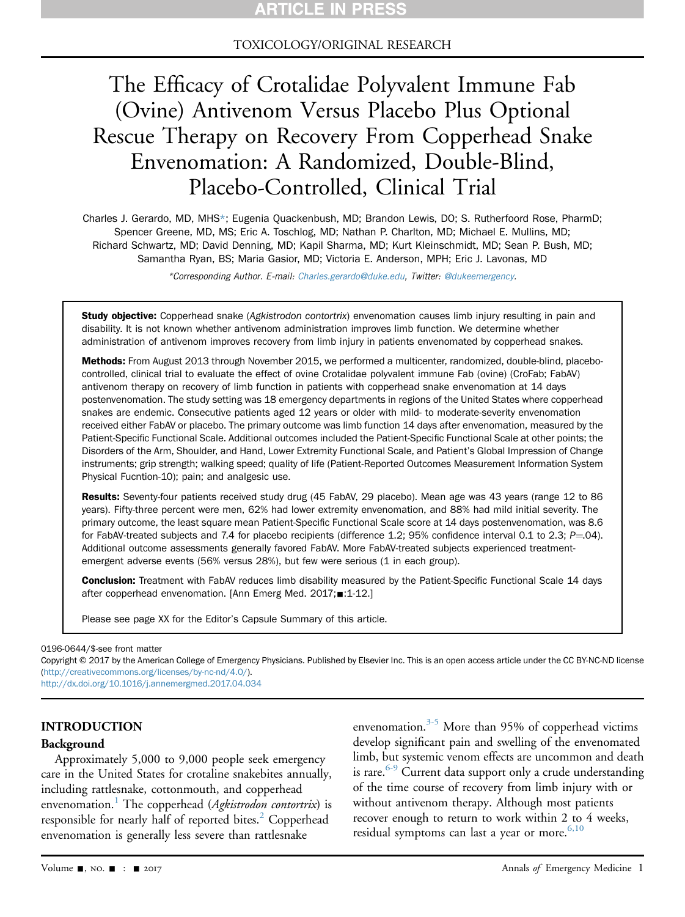### TOXICOLOGY/ORIGINAL RESEARCH

# The Efficacy of Crotalidae Polyvalent Immune Fab (Ovine) Antivenom Versus Placebo Plus Optional Rescue Therapy on Recovery From Copperhead Snake Envenomation: A Randomized, Double-Blind, Placebo-Controlled, Clinical Trial

Charles J. Gerardo, MD, MHS\*; Eugenia Quackenbush, MD; Brandon Lewis, DO; S. Rutherfoord Rose, PharmD; Spencer Greene, MD, MS; Eric A. Toschlog, MD; Nathan P. Charlton, MD; Michael E. Mullins, MD; Richard Schwartz, MD; David Denning, MD; Kapil Sharma, MD; Kurt Kleinschmidt, MD; Sean P. Bush, MD; Samantha Ryan, BS; Maria Gasior, MD; Victoria E. Anderson, MPH; Eric J. Lavonas, MD

\*Corresponding Author. E-mail: [Charles.gerardo@duke.edu,](mailto:Charles.gerardo@duke.edu) Twitter: [@dukeemergency.](mailto:@dukeemergency)

Study objective: Copperhead snake (Agkistrodon contortrix) envenomation causes limb injury resulting in pain and disability. It is not known whether antivenom administration improves limb function. We determine whether administration of antivenom improves recovery from limb injury in patients envenomated by copperhead snakes.

Methods: From August 2013 through November 2015, we performed a multicenter, randomized, double-blind, placebocontrolled, clinical trial to evaluate the effect of ovine Crotalidae polyvalent immune Fab (ovine) (CroFab; FabAV) antivenom therapy on recovery of limb function in patients with copperhead snake envenomation at 14 days postenvenomation. The study setting was 18 emergency departments in regions of the United States where copperhead snakes are endemic. Consecutive patients aged 12 years or older with mild- to moderate-severity envenomation received either FabAV or placebo. The primary outcome was limb function 14 days after envenomation, measured by the Patient-Specific Functional Scale. Additional outcomes included the Patient-Specific Functional Scale at other points; the Disorders of the Arm, Shoulder, and Hand, Lower Extremity Functional Scale, and Patient's Global Impression of Change instruments; grip strength; walking speed; quality of life (Patient-Reported Outcomes Measurement Information System Physical Fucntion-10); pain; and analgesic use.

Results: Seventy-four patients received study drug (45 FabAV, 29 placebo). Mean age was 43 years (range 12 to 86 years). Fifty-three percent were men, 62% had lower extremity envenomation, and 88% had mild initial severity. The primary outcome, the least square mean Patient-Specific Functional Scale score at 14 days postenvenomation, was 8.6 for FabAV-treated subjects and 7.4 for placebo recipients (difference 1.2; 95% confidence interval 0.1 to 2.3;  $P=04$ ). Additional outcome assessments generally favored FabAV. More FabAV-treated subjects experienced treatmentemergent adverse events (56% versus 28%), but few were serious (1 in each group).

Conclusion: Treatment with FabAV reduces limb disability measured by the Patient-Specific Functional Scale 14 days after copperhead envenomation. [Ann Emerg Med. 2017; :1-12.]

Please see page XX for the Editor's Capsule Summary of this article.

0196-0644/\$-see front matter

Copyright © 2017 by the American College of Emergency Physicians. Published by Elsevier Inc. This is an open access article under the CC BY-NC-ND license [\(http://creativecommons.org/licenses/by-nc-nd/4.0/](http://creativecommons.org/licenses/by-nc-nd/4.0/)).

<http://dx.doi.org/10.1016/j.annemergmed.2017.04.034>

#### INTRODUCTION

#### Background

Approximately 5,000 to 9,000 people seek emergency care in the United States for crotaline snakebites annually, including rattlesnake, cottonmouth, and copperhead envenomation.<sup>[1](#page-9-0)</sup> The copperhead (*Agkistrodon contortrix*) is responsible for nearly half of reported bites.<sup>[2](#page-10-0)</sup> Copperhead envenomation is generally less severe than rattlesnake

envenomation.[3-5](#page-10-1) More than 95% of copperhead victims develop significant pain and swelling of the envenomated limb, but systemic venom effects are uncommon and death is rare.  $6-9$  Current data support only a crude understanding of the time course of recovery from limb injury with or without antivenom therapy. Although most patients recover enough to return to work within 2 to 4 weeks, residual symptoms can last a year or more. $6,10$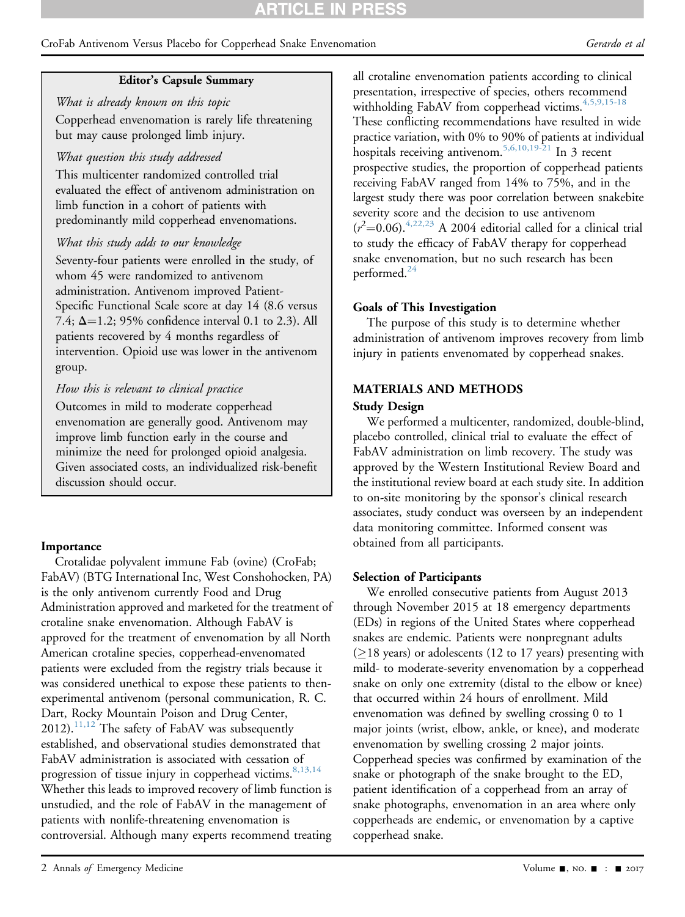## RTICLE IN PRESS

#### CroFab Antivenom Versus Placebo for Copperhead Snake Envenomation Gerardo et al

#### Editor's Capsule Summary

What is already known on this topic Copperhead envenomation is rarely life threatening but may cause prolonged limb injury.

#### What question this study addressed

This multicenter randomized controlled trial evaluated the effect of antivenom administration on limb function in a cohort of patients with predominantly mild copperhead envenomations.

#### What this study adds to our knowledge

Seventy-four patients were enrolled in the study, of whom 45 were randomized to antivenom administration. Antivenom improved Patient-Specific Functional Scale score at day 14 (8.6 versus 7.4;  $\Delta = 1.2$ ; 95% confidence interval 0.1 to 2.3). All patients recovered by 4 months regardless of intervention. Opioid use was lower in the antivenom group.

#### How this is relevant to clinical practice

Outcomes in mild to moderate copperhead envenomation are generally good. Antivenom may improve limb function early in the course and minimize the need for prolonged opioid analgesia. Given associated costs, an individualized risk-benefit discussion should occur.

#### Importance

Crotalidae polyvalent immune Fab (ovine) (CroFab; FabAV) (BTG International Inc, West Conshohocken, PA) is the only antivenom currently Food and Drug Administration approved and marketed for the treatment of crotaline snake envenomation. Although FabAV is approved for the treatment of envenomation by all North American crotaline species, copperhead-envenomated patients were excluded from the registry trials because it was considered unethical to expose these patients to thenexperimental antivenom (personal communication, R. C. Dart, Rocky Mountain Poison and Drug Center,  $2012$ ).<sup>11,12</sup> The safety of FabAV was subsequently established, and observational studies demonstrated that FabAV administration is associated with cessation of progression of tissue injury in copperhead victims.  $8,13,14$ Whether this leads to improved recovery of limb function is unstudied, and the role of FabAV in the management of patients with nonlife-threatening envenomation is controversial. Although many experts recommend treating

all crotaline envenomation patients according to clinical presentation, irrespective of species, others recommend withholding FabAV from copperhead victims. $4,5,9,15-18$ These conflicting recommendations have resulted in wide practice variation, with 0% to 90% of patients at individual hospitals receiving antivenom.<sup>[5,6,10,19-21](#page-10-6)</sup> In 3 recent prospective studies, the proportion of copperhead patients receiving FabAV ranged from 14% to 75%, and in the largest study there was poor correlation between snakebite severity score and the decision to use antivenom  $(r<sup>2</sup>=0.06).<sup>4,22,23</sup>$  A 2004 editorial called for a clinical trial to study the efficacy of FabAV therapy for copperhead snake envenomation, but no such research has been performed. $^{24}$  $^{24}$  $^{24}$ 

#### Goals of This Investigation

The purpose of this study is to determine whether administration of antivenom improves recovery from limb injury in patients envenomated by copperhead snakes.

### MATERIALS AND METHODS Study Design

We performed a multicenter, randomized, double-blind, placebo controlled, clinical trial to evaluate the effect of FabAV administration on limb recovery. The study was approved by the Western Institutional Review Board and the institutional review board at each study site. In addition to on-site monitoring by the sponsor's clinical research associates, study conduct was overseen by an independent data monitoring committee. Informed consent was obtained from all participants.

#### Selection of Participants

We enrolled consecutive patients from August 2013 through November 2015 at 18 emergency departments (EDs) in regions of the United States where copperhead snakes are endemic. Patients were nonpregnant adults  $(\geq)18$  years) or adolescents (12 to 17 years) presenting with mild- to moderate-severity envenomation by a copperhead snake on only one extremity (distal to the elbow or knee) that occurred within 24 hours of enrollment. Mild envenomation was defined by swelling crossing 0 to 1 major joints (wrist, elbow, ankle, or knee), and moderate envenomation by swelling crossing 2 major joints. Copperhead species was confirmed by examination of the snake or photograph of the snake brought to the ED, patient identification of a copperhead from an array of snake photographs, envenomation in an area where only copperheads are endemic, or envenomation by a captive copperhead snake.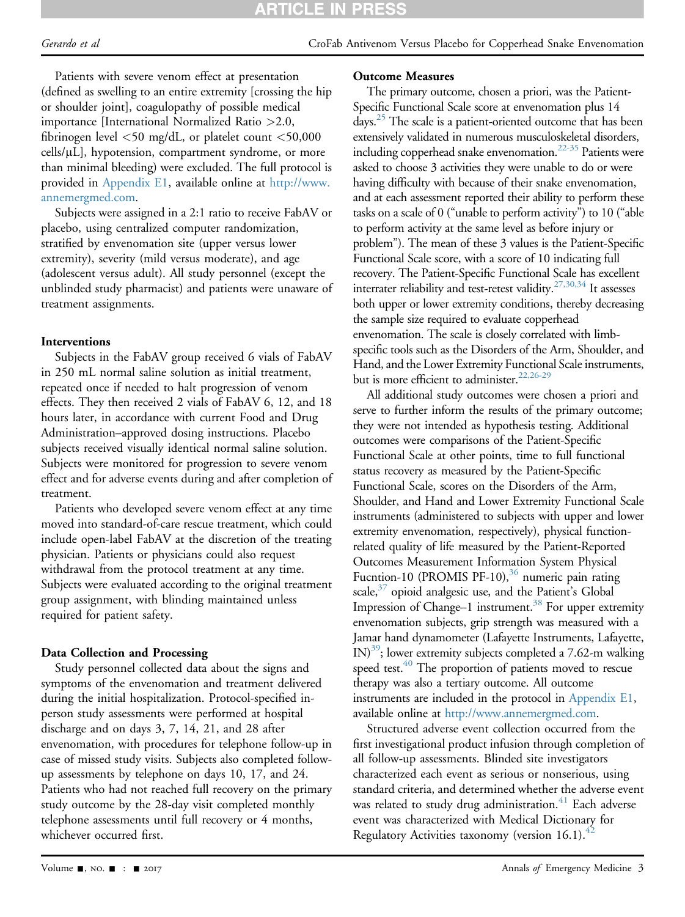## **RTICLE IN PRES**

Patients with severe venom effect at presentation (defined as swelling to an entire extremity [crossing the hip or shoulder joint], coagulopathy of possible medical importance [International Normalized Ratio >2.0, fibrinogen level <50 mg/dL, or platelet count <50,000  $cells/µL$ ], hypotension, compartment syndrome, or more than minimal bleeding) were excluded. The full protocol is provided in Appendix E1, available online at [http://www.](http://www.annemergmed.com) [annemergmed.com](http://www.annemergmed.com).

Subjects were assigned in a 2:1 ratio to receive FabAV or placebo, using centralized computer randomization, stratified by envenomation site (upper versus lower extremity), severity (mild versus moderate), and age (adolescent versus adult). All study personnel (except the unblinded study pharmacist) and patients were unaware of treatment assignments.

#### Interventions

Subjects in the FabAV group received 6 vials of FabAV in 250 mL normal saline solution as initial treatment, repeated once if needed to halt progression of venom effects. They then received 2 vials of FabAV 6, 12, and 18 hours later, in accordance with current Food and Drug Administration–approved dosing instructions. Placebo subjects received visually identical normal saline solution. Subjects were monitored for progression to severe venom effect and for adverse events during and after completion of treatment.

Patients who developed severe venom effect at any time moved into standard-of-care rescue treatment, which could include open-label FabAV at the discretion of the treating physician. Patients or physicians could also request withdrawal from the protocol treatment at any time. Subjects were evaluated according to the original treatment group assignment, with blinding maintained unless required for patient safety.

#### Data Collection and Processing

Study personnel collected data about the signs and symptoms of the envenomation and treatment delivered during the initial hospitalization. Protocol-specified inperson study assessments were performed at hospital discharge and on days 3, 7, 14, 21, and 28 after envenomation, with procedures for telephone follow-up in case of missed study visits. Subjects also completed followup assessments by telephone on days 10, 17, and 24. Patients who had not reached full recovery on the primary study outcome by the 28-day visit completed monthly telephone assessments until full recovery or 4 months, whichever occurred first.

#### Outcome Measures

The primary outcome, chosen a priori, was the Patient-Specific Functional Scale score at envenomation plus 14 days.<sup>[25](#page-10-8)</sup> The scale is a patient-oriented outcome that has been extensively validated in numerous musculoskeletal disorders, including copperhead snake envenomation.<sup>22-35</sup> Patients were asked to choose 3 activities they were unable to do or were having difficulty with because of their snake envenomation, and at each assessment reported their ability to perform these tasks on a scale of 0 ("unable to perform activity") to 10 ("able to perform activity at the same level as before injury or problem"). The mean of these 3 values is the Patient-Specific Functional Scale score, with a score of 10 indicating full recovery. The Patient-Specific Functional Scale has excellent interrater reliability and test-retest validity.<sup>27,30,34</sup> It assesses both upper or lower extremity conditions, thereby decreasing the sample size required to evaluate copperhead envenomation. The scale is closely correlated with limbspecific tools such as the Disorders of the Arm, Shoulder, and Hand, and the Lower Extremity Functional Scale instruments, but is more efficient to administer.<sup>[22,26-29](#page-10-9)</sup>

All additional study outcomes were chosen a priori and serve to further inform the results of the primary outcome; they were not intended as hypothesis testing. Additional outcomes were comparisons of the Patient-Specific Functional Scale at other points, time to full functional status recovery as measured by the Patient-Specific Functional Scale, scores on the Disorders of the Arm, Shoulder, and Hand and Lower Extremity Functional Scale instruments (administered to subjects with upper and lower extremity envenomation, respectively), physical functionrelated quality of life measured by the Patient-Reported Outcomes Measurement Information System Physical Fucntion-10 (PROMIS PF-10), $36$  numeric pain rating scale, $37$  opioid analgesic use, and the Patient's Global Impression of Change–1 instrument.<sup>38</sup> For upper extremity envenomation subjects, grip strength was measured with a Jamar hand dynamometer (Lafayette Instruments, Lafayette,  $IN)^{39}$ ; lower extremity subjects completed a 7.62-m walking speed test.<sup>40</sup> The proportion of patients moved to rescue therapy was also a tertiary outcome. All outcome instruments are included in the protocol in Appendix E1, available online at <http://www.annemergmed.com>.

Structured adverse event collection occurred from the first investigational product infusion through completion of all follow-up assessments. Blinded site investigators characterized each event as serious or nonserious, using standard criteria, and determined whether the adverse event was related to study drug administration. $41$  Each adverse event was characterized with Medical Dictionary for Regulatory Activities taxonomy (version 16.1). $42$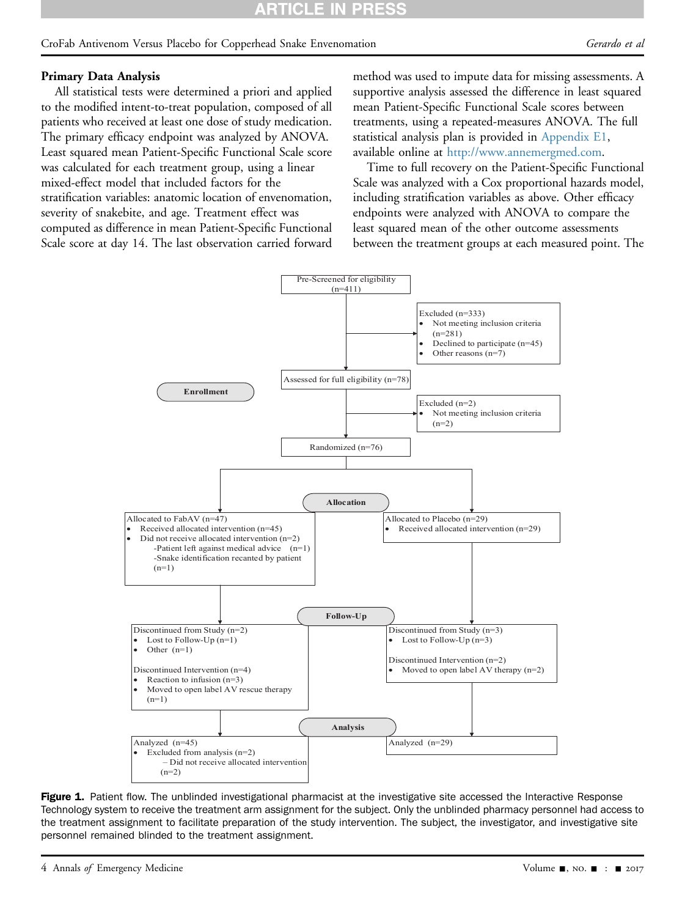## **RTICLE IN PRESS**

#### CroFab Antivenom Versus Placebo for Copperhead Snake Envenomation Gerardo et al

#### Primary Data Analysis

All statistical tests were determined a priori and applied to the modified intent-to-treat population, composed of all patients who received at least one dose of study medication. The primary efficacy endpoint was analyzed by ANOVA. Least squared mean Patient-Specific Functional Scale score was calculated for each treatment group, using a linear mixed-effect model that included factors for the stratification variables: anatomic location of envenomation, severity of snakebite, and age. Treatment effect was computed as difference in mean Patient-Specific Functional Scale score at day 14. The last observation carried forward method was used to impute data for missing assessments. A supportive analysis assessed the difference in least squared mean Patient-Specific Functional Scale scores between treatments, using a repeated-measures ANOVA. The full statistical analysis plan is provided in Appendix E1, available online at [http://www.annemergmed.com.](http://www.annemergmed.com)

Time to full recovery on the Patient-Specific Functional Scale was analyzed with a Cox proportional hazards model, including stratification variables as above. Other efficacy endpoints were analyzed with ANOVA to compare the least squared mean of the other outcome assessments between the treatment groups at each measured point. The

<span id="page-3-0"></span>

Figure 1. Patient flow. The unblinded investigational pharmacist at the investigative site accessed the Interactive Response Technology system to receive the treatment arm assignment for the subject. Only the unblinded pharmacy personnel had access to the treatment assignment to facilitate preparation of the study intervention. The subject, the investigator, and investigative site personnel remained blinded to the treatment assignment.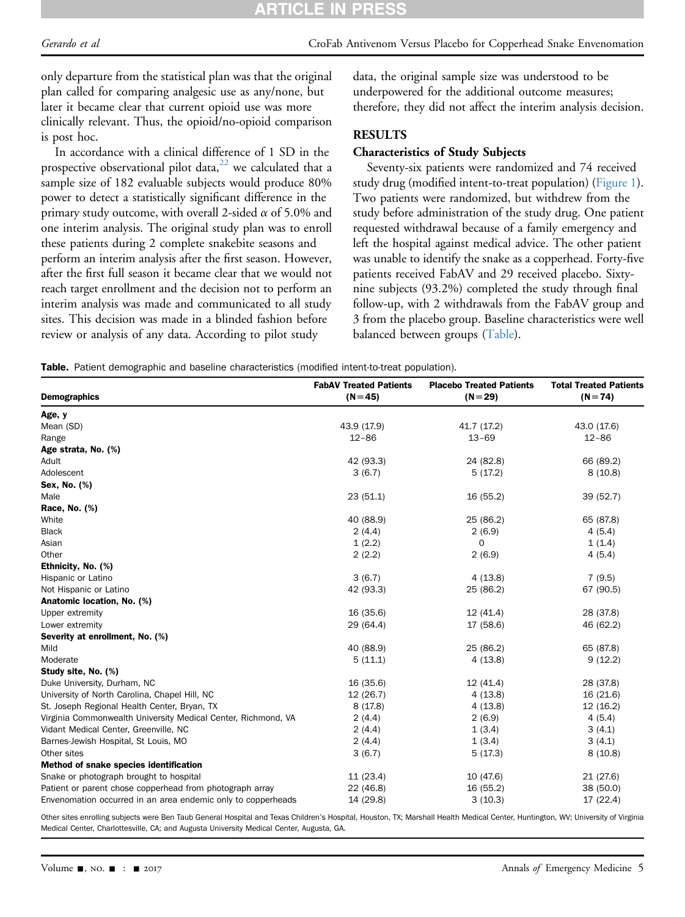## RTICLE IN PRE

only departure from the statistical plan was that the original plan called for comparing analgesic use as any/none, but later it became clear that current opioid use was more clinically relevant. Thus, the opioid/no-opioid comparison is post hoc.

In accordance with a clinical difference of 1 SD in the prospective observational pilot data, $^{22}$  we calculated that a sample size of 182 evaluable subjects would produce 80% power to detect a statistically significant difference in the primary study outcome, with overall 2-sided  $\alpha$  of 5.0% and one interim analysis. The original study plan was to enroll these patients during 2 complete snakebite seasons and perform an interim analysis after the first season. However, after the first full season it became clear that we would not reach target enrollment and the decision not to perform an interim analysis was made and communicated to all study sites. This decision was made in a blinded fashion before review or analysis of any data. According to pilot study

data, the original sample size was understood to be underpowered for the additional outcome measures; therefore, they did not affect the interim analysis decision.

#### RESULTS

#### Characteristics of Study Subjects

Seventy-six patients were randomized and 74 received study drug (modified intent-to-treat population) [\(Figure 1\)](#page-3-0). Two patients were randomized, but withdrew from the study before administration of the study drug. One patient requested withdrawal because of a family emergency and left the hospital against medical advice. The other patient was unable to identify the snake as a copperhead. Forty-five patients received FabAV and 29 received placebo. Sixtynine subjects (93.2%) completed the study through final follow-up, with 2 withdrawals from the FabAV group and 3 from the placebo group. Baseline characteristics were well balanced between groups [\(Table](#page-4-0)).

Table. Patient demographic and baseline characteristics (modified intent-to-treat population).

| <b>Demographics</b>                                           | <b>FabAV Treated Patients</b><br>$(N=45)$ | <b>Placebo Treated Patients</b><br>$(N=29)$ | <b>Total Treated Patients</b><br>$(N = 74)$ |
|---------------------------------------------------------------|-------------------------------------------|---------------------------------------------|---------------------------------------------|
|                                                               |                                           |                                             |                                             |
| Age, y                                                        |                                           |                                             |                                             |
| Mean (SD)                                                     | 43.9 (17.9)                               | 41.7 (17.2)                                 | 43.0 (17.6)                                 |
| Range                                                         | $12 - 86$                                 | $13 - 69$                                   | $12 - 86$                                   |
| Age strata, No. (%)                                           |                                           |                                             |                                             |
| Adult                                                         | 42 (93.3)                                 | 24 (82.8)                                   | 66 (89.2)                                   |
| Adolescent                                                    | 3(6.7)                                    | 5(17.2)                                     | 8(10.8)                                     |
| Sex, No. (%)                                                  |                                           |                                             |                                             |
| Male                                                          | 23(51.1)                                  | 16 (55.2)                                   | 39 (52.7)                                   |
| Race, No. (%)                                                 |                                           |                                             |                                             |
| White                                                         | 40 (88.9)                                 | 25 (86.2)                                   | 65 (87.8)                                   |
| <b>Black</b>                                                  | 2(4.4)                                    | 2(6.9)                                      | 4(5.4)                                      |
| Asian                                                         | 1(2.2)                                    | 0                                           | 1(1.4)                                      |
| Other                                                         | 2(2.2)                                    | 2(6.9)                                      | 4(5.4)                                      |
| Ethnicity, No. (%)                                            |                                           |                                             |                                             |
| Hispanic or Latino                                            | 3(6.7)                                    | 4(13.8)                                     | 7(9.5)                                      |
| Not Hispanic or Latino                                        | 42 (93.3)                                 | 25 (86.2)                                   | 67 (90.5)                                   |
| Anatomic location, No. (%)                                    |                                           |                                             |                                             |
| Upper extremity                                               | 16 (35.6)                                 | 12(41.4)                                    | 28 (37.8)                                   |
| Lower extremity                                               | 29 (64.4)                                 | 17 (58.6)                                   | 46 (62.2)                                   |
| Severity at enrollment, No. (%)                               |                                           |                                             |                                             |
| Mild                                                          | 40 (88.9)                                 | 25 (86.2)                                   | 65 (87.8)                                   |
| Moderate                                                      | 5(11.1)                                   | 4(13.8)                                     | 9(12.2)                                     |
| Study site, No. (%)                                           |                                           |                                             |                                             |
| Duke University, Durham, NC                                   | 16 (35.6)                                 | 12(41.4)                                    | 28 (37.8)                                   |
| University of North Carolina, Chapel Hill, NC                 | 12(26.7)                                  | 4(13.8)                                     | 16 (21.6)                                   |
| St. Joseph Regional Health Center, Bryan, TX                  | 8(17.8)                                   | 4(13.8)                                     | 12(16.2)                                    |
| Virginia Commonwealth University Medical Center, Richmond, VA | 2(4.4)                                    | 2(6.9)                                      | 4(5.4)                                      |
| Vidant Medical Center, Greenville, NC                         | 2(4.4)                                    | 1(3.4)                                      | 3(4.1)                                      |
| Barnes-Jewish Hospital, St Louis, MO                          | 2(4.4)                                    | 1(3.4)                                      | 3(4.1)                                      |
| Other sites                                                   | 3(6.7)                                    | 5(17.3)                                     | 8(10.8)                                     |
| Method of snake species identification                        |                                           |                                             |                                             |
| Snake or photograph brought to hospital                       | 11(23.4)                                  | 10 (47.6)                                   | 21 (27.6)                                   |
| Patient or parent chose copperhead from photograph array      | 22 (46.8)                                 | 16 (55.2)                                   | 38 (50.0)                                   |
| Envenomation occurred in an area endemic only to copperheads  | 14 (29.8)                                 | 3(10.3)                                     | 17 (22.4)                                   |

<span id="page-4-0"></span>Other sites enrolling subjects were Ben Taub General Hospital and Texas Children's Hospital, Houston, TX; Marshall Health Medical Center, Huntington, WV; University of Virginia Medical Center, Charlottesville, CA; and Augusta University Medical Center, Augusta, GA.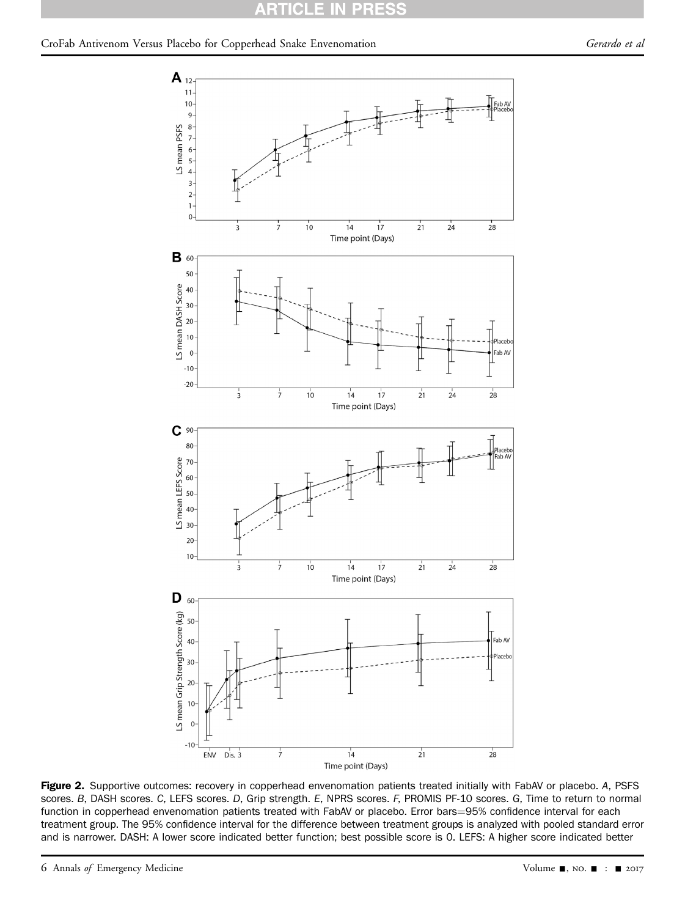<span id="page-5-0"></span>

Figure 2. Supportive outcomes: recovery in copperhead envenomation patients treated initially with FabAV or placebo. A, PSFS scores. B, DASH scores. C, LEFS scores. D, Grip strength. E, NPRS scores. F, PROMIS PF-10 scores. G, Time to return to normal function in copperhead envenomation patients treated with FabAV or placebo. Error bars=95% confidence interval for each treatment group. The 95% confidence interval for the difference between treatment groups is analyzed with pooled standard error and is narrower. DASH: A lower score indicated better function; best possible score is 0. LEFS: A higher score indicated better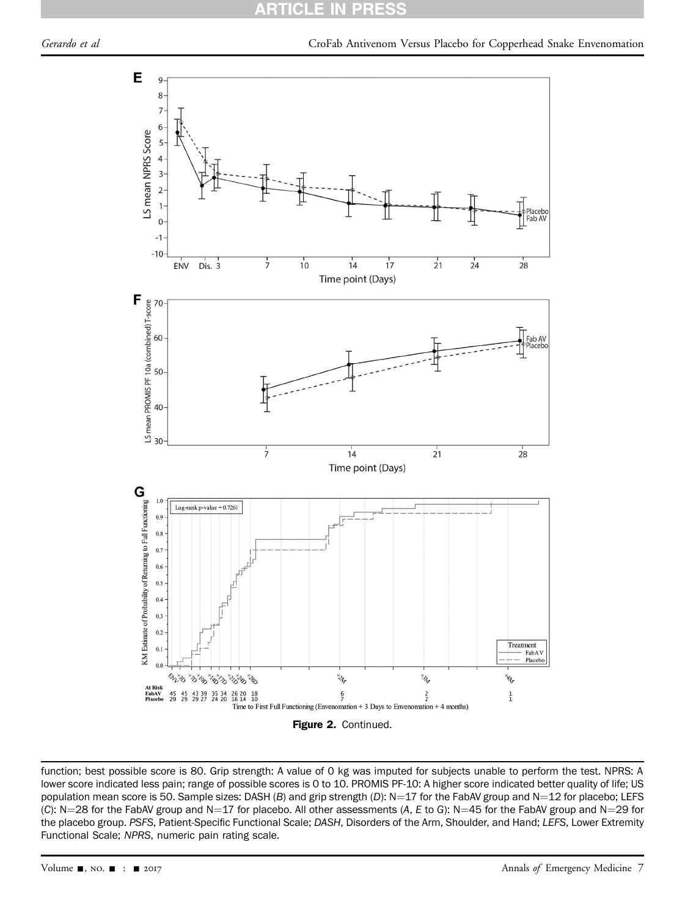#### ARTI CI PR ES



function; best possible score is 80. Grip strength: A value of 0 kg was imputed for subjects unable to perform the test. NPRS: A lower score indicated less pain; range of possible scores is 0 to 10. PROMIS PF-10: A higher score indicated better quality of life; US population mean score is 50. Sample sizes: DASH (B) and grip strength (D):  $N=17$  for the FabAV group and N=12 for placebo; LEFS (C): N=28 for the FabAV group and N=17 for placebo. All other assessments (A, E to G): N=45 for the FabAV group and N=29 for the placebo group. PSFS, Patient-Specific Functional Scale; DASH, Disorders of the Arm, Shoulder, and Hand; LEFS, Lower Extremity Functional Scale; NPRS, numeric pain rating scale.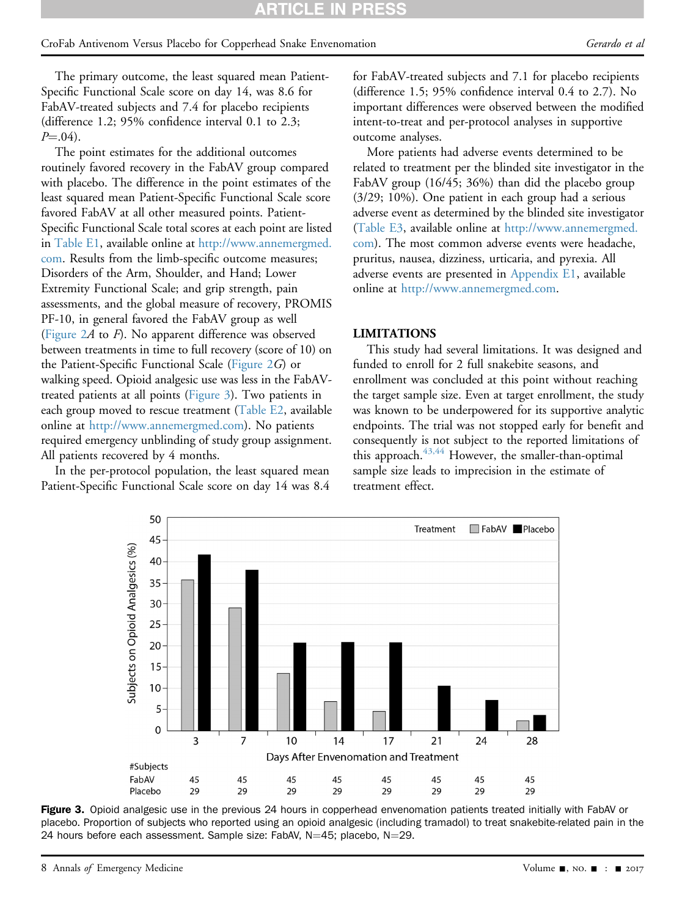#### CroFab Antivenom Versus Placebo for Copperhead Snake Envenomation Gerardo et al

The primary outcome, the least squared mean Patient-Specific Functional Scale score on day 14, was 8.6 for FabAV-treated subjects and 7.4 for placebo recipients (difference 1.2; 95% confidence interval 0.1 to 2.3;  $P = .04$ ).

The point estimates for the additional outcomes routinely favored recovery in the FabAV group compared with placebo. The difference in the point estimates of the least squared mean Patient-Specific Functional Scale score favored FabAV at all other measured points. Patient-Specific Functional Scale total scores at each point are listed in [Table E1](#page-12-0), available online at [http://www.annemergmed.](http://www.annemergmed.com) [com](http://www.annemergmed.com). Results from the limb-specific outcome measures; Disorders of the Arm, Shoulder, and Hand; Lower Extremity Functional Scale; and grip strength, pain assessments, and the global measure of recovery, PROMIS PF-10, in general favored the FabAV group as well (Figure  $2A$  to  $F$ ). No apparent difference was observed between treatments in time to full recovery (score of 10) on the Patient-Specific Functional Scale ([Figure 2](#page-5-0)G) or walking speed. Opioid analgesic use was less in the FabAVtreated patients at all points [\(Figure 3\)](#page-7-0). Two patients in each group moved to rescue treatment [\(Table E2](#page-14-0), available online at <http://www.annemergmed.com>). No patients required emergency unblinding of study group assignment. All patients recovered by 4 months.

<span id="page-7-0"></span>In the per-protocol population, the least squared mean Patient-Specific Functional Scale score on day 14 was 8.4 for FabAV-treated subjects and 7.1 for placebo recipients (difference 1.5; 95% confidence interval 0.4 to 2.7). No important differences were observed between the modified intent-to-treat and per-protocol analyses in supportive outcome analyses.

More patients had adverse events determined to be related to treatment per the blinded site investigator in the FabAV group (16/45; 36%) than did the placebo group (3/29; 10%). One patient in each group had a serious adverse event as determined by the blinded site investigator ([Table E3](#page-14-1), available online at [http://www.annemergmed.](http://www.annemergmed.com) [com\)](http://www.annemergmed.com). The most common adverse events were headache, pruritus, nausea, dizziness, urticaria, and pyrexia. All adverse events are presented in Appendix E1, available online at [http://www.annemergmed.com.](http://www.annemergmed.com)

#### LIMITATIONS

This study had several limitations. It was designed and funded to enroll for 2 full snakebite seasons, and enrollment was concluded at this point without reaching the target sample size. Even at target enrollment, the study was known to be underpowered for its supportive analytic endpoints. The trial was not stopped early for benefit and consequently is not subject to the reported limitations of this approach.<sup>43,44</sup> However, the smaller-than-optimal sample size leads to imprecision in the estimate of treatment effect.



Figure 3. Opioid analgesic use in the previous 24 hours in copperhead envenomation patients treated initially with FabAV or placebo. Proportion of subjects who reported using an opioid analgesic (including tramadol) to treat snakebite-related pain in the 24 hours before each assessment. Sample size: FabAV, N=45; placebo, N=29.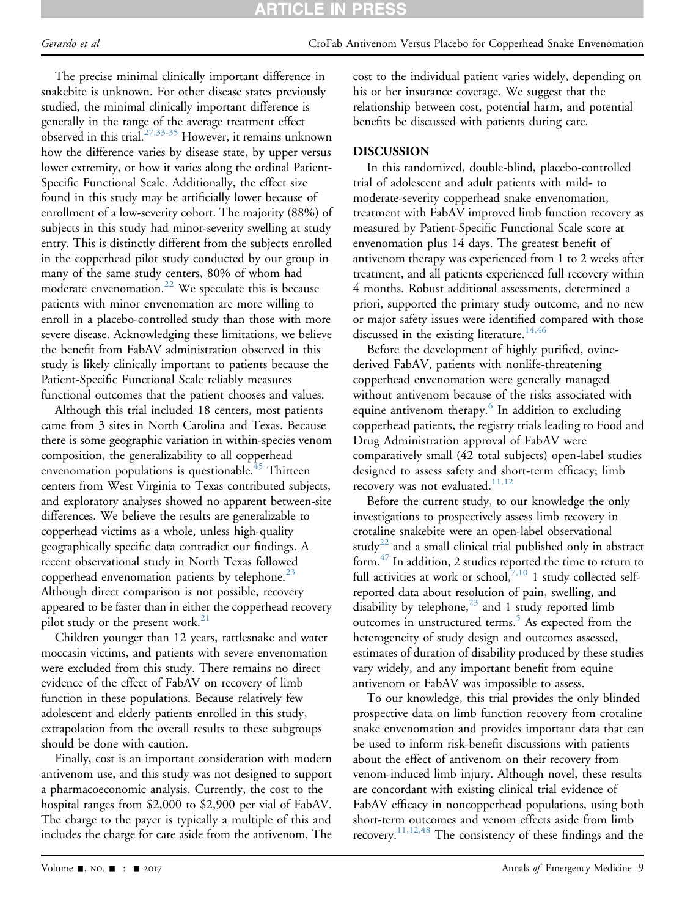## **ARTICLE IN PRES**

The precise minimal clinically important difference in snakebite is unknown. For other disease states previously studied, the minimal clinically important difference is generally in the range of the average treatment effect observed in this trial.<sup>[27,33-35](#page-10-10)</sup> However, it remains unknown how the difference varies by disease state, by upper versus lower extremity, or how it varies along the ordinal Patient-Specific Functional Scale. Additionally, the effect size found in this study may be artificially lower because of enrollment of a low-severity cohort. The majority (88%) of subjects in this study had minor-severity swelling at study entry. This is distinctly different from the subjects enrolled in the copperhead pilot study conducted by our group in many of the same study centers, 80% of whom had moderate envenomation.<sup>22</sup> We speculate this is because patients with minor envenomation are more willing to enroll in a placebo-controlled study than those with more severe disease. Acknowledging these limitations, we believe the benefit from FabAV administration observed in this study is likely clinically important to patients because the Patient-Specific Functional Scale reliably measures functional outcomes that the patient chooses and values.

Although this trial included 18 centers, most patients came from 3 sites in North Carolina and Texas. Because there is some geographic variation in within-species venom composition, the generalizability to all copperhead envenomation populations is questionable.<sup>[45](#page-11-1)</sup> Thirteen centers from West Virginia to Texas contributed subjects, and exploratory analyses showed no apparent between-site differences. We believe the results are generalizable to copperhead victims as a whole, unless high-quality geographically specific data contradict our findings. A recent observational study in North Texas followed copperhead envenomation patients by telephone.<sup>[23](#page-10-18)</sup> Although direct comparison is not possible, recovery appeared to be faster than in either the copperhead recovery pilot study or the present work. $21$ 

Children younger than 12 years, rattlesnake and water moccasin victims, and patients with severe envenomation were excluded from this study. There remains no direct evidence of the effect of FabAV on recovery of limb function in these populations. Because relatively few adolescent and elderly patients enrolled in this study, extrapolation from the overall results to these subgroups should be done with caution.

Finally, cost is an important consideration with modern antivenom use, and this study was not designed to support a pharmacoeconomic analysis. Currently, the cost to the hospital ranges from \$2,000 to \$2,900 per vial of FabAV. The charge to the payer is typically a multiple of this and includes the charge for care aside from the antivenom. The cost to the individual patient varies widely, depending on his or her insurance coverage. We suggest that the relationship between cost, potential harm, and potential benefits be discussed with patients during care.

#### DISCUSSION

In this randomized, double-blind, placebo-controlled trial of adolescent and adult patients with mild- to moderate-severity copperhead snake envenomation, treatment with FabAV improved limb function recovery as measured by Patient-Specific Functional Scale score at envenomation plus 14 days. The greatest benefit of antivenom therapy was experienced from 1 to 2 weeks after treatment, and all patients experienced full recovery within 4 months. Robust additional assessments, determined a priori, supported the primary study outcome, and no new or major safety issues were identified compared with those discussed in the existing literature.<sup>14,46</sup>

Before the development of highly purified, ovinederived FabAV, patients with nonlife-threatening copperhead envenomation were generally managed without antivenom because of the risks associated with equine antivenom therapy.<sup>[6](#page-10-2)</sup> In addition to excluding copperhead patients, the registry trials leading to Food and Drug Administration approval of FabAV were comparatively small (42 total subjects) open-label studies designed to assess safety and short-term efficacy; limb recovery was not evaluated. $11,12$ 

Before the current study, to our knowledge the only investigations to prospectively assess limb recovery in crotaline snakebite were an open-label observational study<sup>22</sup> and a small clinical trial published only in abstract form. $47$  In addition, 2 studies reported the time to return to full activities at work or school, $^{7,10}$  $^{7,10}$  $^{7,10}$  1 study collected selfreported data about resolution of pain, swelling, and disability by telephone, $^{23}$  and 1 study reported limb outcomes in unstructured terms.<sup>[5](#page-10-6)</sup> As expected from the heterogeneity of study design and outcomes assessed, estimates of duration of disability produced by these studies vary widely, and any important benefit from equine antivenom or FabAV was impossible to assess.

To our knowledge, this trial provides the only blinded prospective data on limb function recovery from crotaline snake envenomation and provides important data that can be used to inform risk-benefit discussions with patients about the effect of antivenom on their recovery from venom-induced limb injury. Although novel, these results are concordant with existing clinical trial evidence of FabAV efficacy in noncopperhead populations, using both short-term outcomes and venom effects aside from limb recovery.[11,12,48](#page-10-3) The consistency of these findings and the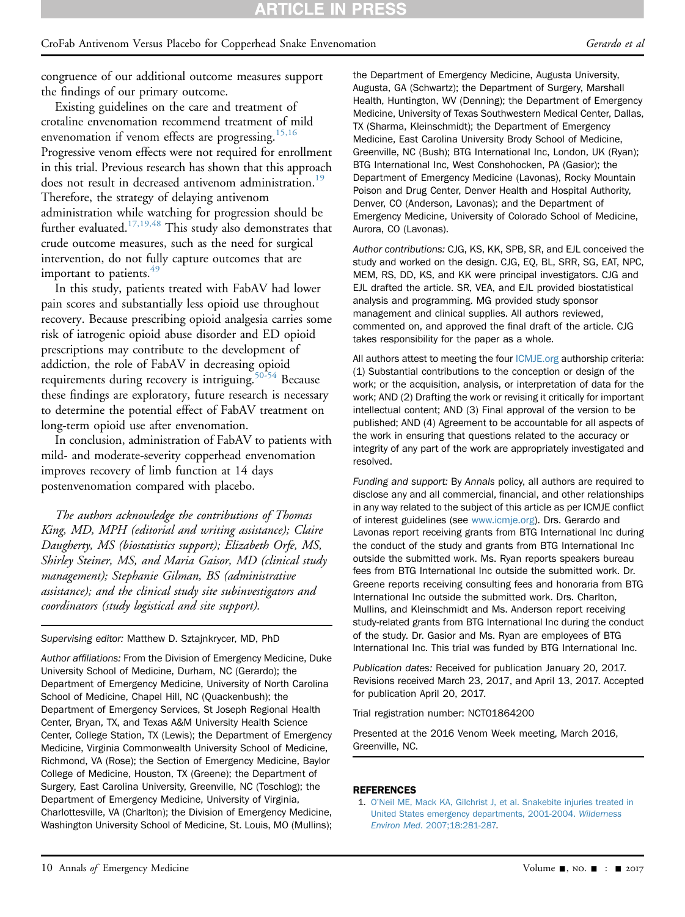congruence of our additional outcome measures support the findings of our primary outcome.

Existing guidelines on the care and treatment of crotaline envenomation recommend treatment of mild envenomation if venom effects are progressing.<sup>[15,16](#page-10-22)</sup> Progressive venom effects were not required for enrollment in this trial. Previous research has shown that this approach does not result in decreased antivenom administration.<sup>19</sup> Therefore, the strategy of delaying antivenom administration while watching for progression should be further evaluated.<sup>[17,19,48](#page-10-24)</sup> This study also demonstrates that crude outcome measures, such as the need for surgical intervention, do not fully capture outcomes that are important to patients. $49$ 

In this study, patients treated with FabAV had lower pain scores and substantially less opioid use throughout recovery. Because prescribing opioid analgesia carries some risk of iatrogenic opioid abuse disorder and ED opioid prescriptions may contribute to the development of addiction, the role of FabAV in decreasing opioid requirements during recovery is intriguing.<sup>50-54</sup> Because these findings are exploratory, future research is necessary to determine the potential effect of FabAV treatment on long-term opioid use after envenomation.

In conclusion, administration of FabAV to patients with mild- and moderate-severity copperhead envenomation improves recovery of limb function at 14 days postenvenomation compared with placebo.

The authors acknowledge the contributions of Thomas King, MD, MPH (editorial and writing assistance); Claire Daugherty, MS (biostatistics support); Elizabeth Orfe, MS, Shirley Steiner, MS, and Maria Gaisor, MD (clinical study management); Stephanie Gilman, BS (administrative assistance); and the clinical study site subinvestigators and coordinators (study logistical and site support).

#### Supervising editor: Matthew D. Sztajnkrycer, MD, PhD

Author affiliations: From the Division of Emergency Medicine, Duke University School of Medicine, Durham, NC (Gerardo); the Department of Emergency Medicine, University of North Carolina School of Medicine, Chapel Hill, NC (Quackenbush); the Department of Emergency Services, St Joseph Regional Health Center, Bryan, TX, and Texas A&M University Health Science Center, College Station, TX (Lewis); the Department of Emergency Medicine, Virginia Commonwealth University School of Medicine, Richmond, VA (Rose); the Section of Emergency Medicine, Baylor College of Medicine, Houston, TX (Greene); the Department of Surgery, East Carolina University, Greenville, NC (Toschlog); the Department of Emergency Medicine, University of Virginia, Charlottesville, VA (Charlton); the Division of Emergency Medicine, Washington University School of Medicine, St. Louis, MO (Mullins); the Department of Emergency Medicine, Augusta University, Augusta, GA (Schwartz); the Department of Surgery, Marshall Health, Huntington, WV (Denning); the Department of Emergency Medicine, University of Texas Southwestern Medical Center, Dallas, TX (Sharma, Kleinschmidt); the Department of Emergency Medicine, East Carolina University Brody School of Medicine, Greenville, NC (Bush); BTG International Inc, London, UK (Ryan); BTG International Inc, West Conshohocken, PA (Gasior); the Department of Emergency Medicine (Lavonas), Rocky Mountain Poison and Drug Center, Denver Health and Hospital Authority, Denver, CO (Anderson, Lavonas); and the Department of Emergency Medicine, University of Colorado School of Medicine, Aurora, CO (Lavonas).

Author contributions: CJG, KS, KK, SPB, SR, and EJL conceived the study and worked on the design. CJG, EQ, BL, SRR, SG, EAT, NPC, MEM, RS, DD, KS, and KK were principal investigators. CJG and EJL drafted the article. SR, VEA, and EJL provided biostatistical analysis and programming. MG provided study sponsor management and clinical supplies. All authors reviewed, commented on, and approved the final draft of the article. CJG takes responsibility for the paper as a whole.

All authors attest to meeting the four [ICMJE.org](http://ICMJE.org) authorship criteria: (1) Substantial contributions to the conception or design of the work; or the acquisition, analysis, or interpretation of data for the work; AND (2) Drafting the work or revising it critically for important intellectual content; AND (3) Final approval of the version to be published; AND (4) Agreement to be accountable for all aspects of the work in ensuring that questions related to the accuracy or integrity of any part of the work are appropriately investigated and resolved.

Funding and support: By Annals policy, all authors are required to disclose any and all commercial, financial, and other relationships in any way related to the subject of this article as per ICMJE conflict of interest guidelines (see [www.icmje.org\)](http://www.icmje.org/). Drs. Gerardo and Lavonas report receiving grants from BTG International Inc during the conduct of the study and grants from BTG International Inc outside the submitted work. Ms. Ryan reports speakers bureau fees from BTG International Inc outside the submitted work. Dr. Greene reports receiving consulting fees and honoraria from BTG International Inc outside the submitted work. Drs. Charlton, Mullins, and Kleinschmidt and Ms. Anderson report receiving study-related grants from BTG International Inc during the conduct of the study. Dr. Gasior and Ms. Ryan are employees of BTG International Inc. This trial was funded by BTG International Inc.

Publication dates: Received for publication January 20, 2017. Revisions received March 23, 2017, and April 13, 2017. Accepted for publication April 20, 2017.

Trial registration number: NCT01864200

Presented at the 2016 Venom Week meeting, March 2016, Greenville, NC.

#### <span id="page-9-0"></span>REFERENCES

1. O'[Neil ME, Mack KA, Gilchrist J, et al. Snakebite injuries treated in](http://refhub.elsevier.com/S0196-0644(17)30510-3/sref1) [United States emergency departments, 2001-2004.](http://refhub.elsevier.com/S0196-0644(17)30510-3/sref1) Wilderness Environ Med[. 2007;18:281-287.](http://refhub.elsevier.com/S0196-0644(17)30510-3/sref1)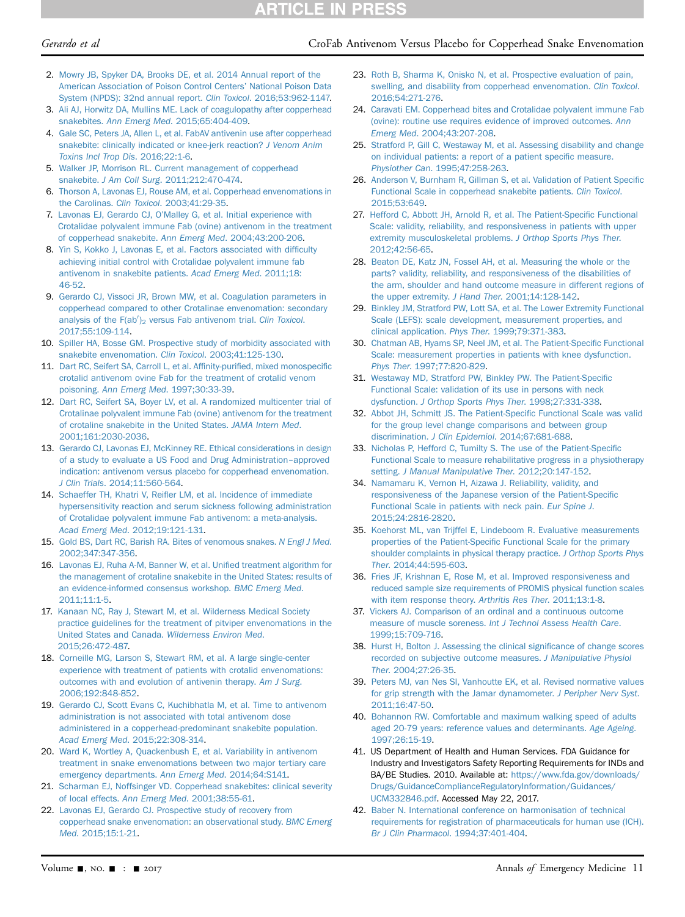## **RTICLE IN PRESS**

#### Gerardo et al CroFab Antivenom Versus Placebo for Copperhead Snake Envenomation

- <span id="page-10-0"></span>2. [Mowry JB, Spyker DA, Brooks DE, et al. 2014 Annual report of the](http://refhub.elsevier.com/S0196-0644(17)30510-3/sref2) [American Association of Poison Control Centers](http://refhub.elsevier.com/S0196-0644(17)30510-3/sref2)' National Poison Data [System \(NPDS\): 32nd annual report.](http://refhub.elsevier.com/S0196-0644(17)30510-3/sref2) Clin Toxicol. 2016;53:962-1147.
- <span id="page-10-1"></span>3. [Ali AJ, Horwitz DA, Mullins ME. Lack of coagulopathy after copperhead](http://refhub.elsevier.com/S0196-0644(17)30510-3/sref3) snakebites. Ann Emerg Med[. 2015;65:404-409.](http://refhub.elsevier.com/S0196-0644(17)30510-3/sref3)
- <span id="page-10-5"></span>4. [Gale SC, Peters JA, Allen L, et al. FabAV antivenin use after copperhead](http://refhub.elsevier.com/S0196-0644(17)30510-3/sref4) [snakebite: clinically indicated or knee-jerk reaction?](http://refhub.elsevier.com/S0196-0644(17)30510-3/sref4) J Venom Anim [Toxins Incl Trop Dis](http://refhub.elsevier.com/S0196-0644(17)30510-3/sref4). 2016;22:1-6.
- <span id="page-10-6"></span>5. [Walker JP, Morrison RL. Current management of copperhead](http://refhub.elsevier.com/S0196-0644(17)30510-3/sref5) snakebite. J Am Coll Surg[. 2011;212:470-474](http://refhub.elsevier.com/S0196-0644(17)30510-3/sref5).
- <span id="page-10-2"></span>6. [Thorson A, Lavonas EJ, Rouse AM, et al. Copperhead envenomations in](http://refhub.elsevier.com/S0196-0644(17)30510-3/sref6) the Carolinas. Clin Toxicol[. 2003;41:29-35](http://refhub.elsevier.com/S0196-0644(17)30510-3/sref6).
- <span id="page-10-21"></span>7. Lavonas EJ, Gerardo CJ, O'[Malley G, et al. Initial experience with](http://refhub.elsevier.com/S0196-0644(17)30510-3/sref7) [Crotalidae polyvalent immune Fab \(ovine\) antivenom in the treatment](http://refhub.elsevier.com/S0196-0644(17)30510-3/sref7) [of copperhead snakebite.](http://refhub.elsevier.com/S0196-0644(17)30510-3/sref7) Ann Emerg Med. 2004;43:200-206.
- <span id="page-10-4"></span>8. [Yin S, Kokko J, Lavonas E, et al. Factors associated with dif](http://refhub.elsevier.com/S0196-0644(17)30510-3/sref8)ficulty [achieving initial control with Crotalidae polyvalent immune fab](http://refhub.elsevier.com/S0196-0644(17)30510-3/sref8) [antivenom in snakebite patients.](http://refhub.elsevier.com/S0196-0644(17)30510-3/sref8) Acad Emerg Med. 2011;18: [46-52.](http://refhub.elsevier.com/S0196-0644(17)30510-3/sref8)
- 9. [Gerardo CJ, Vissoci JR, Brown MW, et al. Coagulation parameters in](http://refhub.elsevier.com/S0196-0644(17)30510-3/sref9) [copperhead compared to other Crotalinae envenomation: secondary](http://refhub.elsevier.com/S0196-0644(17)30510-3/sref9) analysis of the  $F(ab')_2$  [versus Fab antivenom trial.](http://refhub.elsevier.com/S0196-0644(17)30510-3/sref9) Clin Toxicol. [2017;55:109-114.](http://refhub.elsevier.com/S0196-0644(17)30510-3/sref9)
- 10. [Spiller HA, Bosse GM. Prospective study of morbidity associated with](http://refhub.elsevier.com/S0196-0644(17)30510-3/sref10) [snakebite envenomation.](http://refhub.elsevier.com/S0196-0644(17)30510-3/sref10) Clin Toxicol. 2003;41:125-130.
- <span id="page-10-3"></span>11. [Dart RC, Seifert SA, Carroll L, et al. Af](http://refhub.elsevier.com/S0196-0644(17)30510-3/sref11)finity-purified, mixed monospecific [crotalid antivenom ovine Fab for the treatment of crotalid venom](http://refhub.elsevier.com/S0196-0644(17)30510-3/sref11) poisoning. Ann Emerg Med[. 1997;30:33-39](http://refhub.elsevier.com/S0196-0644(17)30510-3/sref11).
- 12. [Dart RC, Seifert SA, Boyer LV, et al. A randomized multicenter trial of](http://refhub.elsevier.com/S0196-0644(17)30510-3/sref12) [Crotalinae polyvalent immune Fab \(ovine\) antivenom for the treatment](http://refhub.elsevier.com/S0196-0644(17)30510-3/sref12) [of crotaline snakebite in the United States.](http://refhub.elsevier.com/S0196-0644(17)30510-3/sref12) JAMA Intern Med. [2001;161:2030-2036](http://refhub.elsevier.com/S0196-0644(17)30510-3/sref12).
- 13. [Gerardo CJ, Lavonas EJ, McKinney RE. Ethical considerations in design](http://refhub.elsevier.com/S0196-0644(17)30510-3/sref13) [of a study to evaluate a US Food and Drug Administration](http://refhub.elsevier.com/S0196-0644(17)30510-3/sref13)–[approved](http://refhub.elsevier.com/S0196-0644(17)30510-3/sref13) [indication: antivenom versus placebo for copperhead envenomation.](http://refhub.elsevier.com/S0196-0644(17)30510-3/sref13) J Clin Trials[. 2014;11:560-564](http://refhub.elsevier.com/S0196-0644(17)30510-3/sref13).
- <span id="page-10-20"></span>14. Schaeffer TH, Khatri V, Reifl[er LM, et al. Incidence of immediate](http://refhub.elsevier.com/S0196-0644(17)30510-3/sref14) [hypersensitivity reaction and serum sickness following administration](http://refhub.elsevier.com/S0196-0644(17)30510-3/sref14) [of Crotalidae polyvalent immune Fab antivenom: a meta-analysis.](http://refhub.elsevier.com/S0196-0644(17)30510-3/sref14) Acad Emerg Med[. 2012;19:121-131.](http://refhub.elsevier.com/S0196-0644(17)30510-3/sref14)
- <span id="page-10-22"></span>15. [Gold BS, Dart RC, Barish RA. Bites of venomous snakes.](http://refhub.elsevier.com/S0196-0644(17)30510-3/sref15) N Engl J Med. [2002;347:347-356](http://refhub.elsevier.com/S0196-0644(17)30510-3/sref15).
- 16. [Lavonas EJ, Ruha A-M, Banner W, et al. Uni](http://refhub.elsevier.com/S0196-0644(17)30510-3/sref16)fied treatment algorithm for [the management of crotaline snakebite in the United States: results of](http://refhub.elsevier.com/S0196-0644(17)30510-3/sref16) [an evidence-informed consensus workshop.](http://refhub.elsevier.com/S0196-0644(17)30510-3/sref16) BMC Emerg Med. [2011;11:1-5](http://refhub.elsevier.com/S0196-0644(17)30510-3/sref16).
- <span id="page-10-24"></span>17. [Kanaan NC, Ray J, Stewart M, et al. Wilderness Medical Society](http://refhub.elsevier.com/S0196-0644(17)30510-3/sref17) [practice guidelines for the treatment of pitviper envenomations in the](http://refhub.elsevier.com/S0196-0644(17)30510-3/sref17) [United States and Canada.](http://refhub.elsevier.com/S0196-0644(17)30510-3/sref17) Wilderness Environ Med. [2015;26:472-487.](http://refhub.elsevier.com/S0196-0644(17)30510-3/sref17)
- 18. [Corneille MG, Larson S, Stewart RM, et al. A large single-center](http://refhub.elsevier.com/S0196-0644(17)30510-3/sref18) [experience with treatment of patients with crotalid envenomations:](http://refhub.elsevier.com/S0196-0644(17)30510-3/sref18) [outcomes with and evolution of antivenin therapy.](http://refhub.elsevier.com/S0196-0644(17)30510-3/sref18) Am J Surg. [2006;192:848-852.](http://refhub.elsevier.com/S0196-0644(17)30510-3/sref18)
- <span id="page-10-23"></span>19. [Gerardo CJ, Scott Evans C, Kuchibhatla M, et al. Time to antivenom](http://refhub.elsevier.com/S0196-0644(17)30510-3/sref19) [administration is not associated with total antivenom dose](http://refhub.elsevier.com/S0196-0644(17)30510-3/sref19) [administered in a copperhead-predominant snakebite population.](http://refhub.elsevier.com/S0196-0644(17)30510-3/sref19) Acad Emerg Med[. 2015;22:308-314](http://refhub.elsevier.com/S0196-0644(17)30510-3/sref19).
- 20. [Ward K, Wortley A, Quackenbush E, et al. Variability in antivenom](http://refhub.elsevier.com/S0196-0644(17)30510-3/sref20) [treatment in snake envenomations between two major tertiary care](http://refhub.elsevier.com/S0196-0644(17)30510-3/sref20) [emergency departments.](http://refhub.elsevier.com/S0196-0644(17)30510-3/sref20) Ann Emerg Med. 2014;64:S141.
- <span id="page-10-19"></span>21. [Scharman EJ, Noffsinger VD. Copperhead snakebites: clinical severity](http://refhub.elsevier.com/S0196-0644(17)30510-3/sref21) of local effects. Ann Emerg Med[. 2001;38:55-61.](http://refhub.elsevier.com/S0196-0644(17)30510-3/sref21)
- <span id="page-10-9"></span>22. [Lavonas EJ, Gerardo CJ. Prospective study of recovery from](http://refhub.elsevier.com/S0196-0644(17)30510-3/sref22) [copperhead snake envenomation: an observational study.](http://refhub.elsevier.com/S0196-0644(17)30510-3/sref22) BMC Emerg Med[. 2015;15:1-21](http://refhub.elsevier.com/S0196-0644(17)30510-3/sref22).
- <span id="page-10-18"></span>23. [Roth B, Sharma K, Onisko N, et al. Prospective evaluation of pain,](http://refhub.elsevier.com/S0196-0644(17)30510-3/sref23) [swelling, and disability from copperhead envenomation.](http://refhub.elsevier.com/S0196-0644(17)30510-3/sref23) Clin Toxicol. [2016;54:271-276.](http://refhub.elsevier.com/S0196-0644(17)30510-3/sref23)
- <span id="page-10-7"></span>24. [Caravati EM. Copperhead bites and Crotalidae polyvalent immune Fab](http://refhub.elsevier.com/S0196-0644(17)30510-3/sref24) [\(ovine\): routine use requires evidence of improved outcomes.](http://refhub.elsevier.com/S0196-0644(17)30510-3/sref24) Ann Emerg Med[. 2004;43:207-208.](http://refhub.elsevier.com/S0196-0644(17)30510-3/sref24)
- <span id="page-10-8"></span>25. [Stratford P, Gill C, Westaway M, et al. Assessing disability and change](http://refhub.elsevier.com/S0196-0644(17)30510-3/sref25) [on individual patients: a report of a patient speci](http://refhub.elsevier.com/S0196-0644(17)30510-3/sref25)fic measure. Physiother Can[. 1995;47:258-263.](http://refhub.elsevier.com/S0196-0644(17)30510-3/sref25)
- 26. [Anderson V, Burnham R, Gillman S, et al. Validation of Patient Speci](http://refhub.elsevier.com/S0196-0644(17)30510-3/sref26)fic [Functional Scale in copperhead snakebite patients.](http://refhub.elsevier.com/S0196-0644(17)30510-3/sref26) Clin Toxicol. [2015;53:649.](http://refhub.elsevier.com/S0196-0644(17)30510-3/sref26)
- <span id="page-10-10"></span>27. [Hefford C, Abbott JH, Arnold R, et al. The Patient-Speci](http://refhub.elsevier.com/S0196-0644(17)30510-3/sref27)fic Functional [Scale: validity, reliability, and responsiveness in patients with upper](http://refhub.elsevier.com/S0196-0644(17)30510-3/sref27) [extremity musculoskeletal problems.](http://refhub.elsevier.com/S0196-0644(17)30510-3/sref27) J Orthop Sports Phys Ther. [2012;42:56-65](http://refhub.elsevier.com/S0196-0644(17)30510-3/sref27).
- 28. [Beaton DE, Katz JN, Fossel AH, et al. Measuring the whole or the](http://refhub.elsevier.com/S0196-0644(17)30510-3/sref28) [parts? validity, reliability, and responsiveness of the disabilities of](http://refhub.elsevier.com/S0196-0644(17)30510-3/sref28) [the arm, shoulder and hand outcome measure in different regions of](http://refhub.elsevier.com/S0196-0644(17)30510-3/sref28) [the upper extremity.](http://refhub.elsevier.com/S0196-0644(17)30510-3/sref28) J Hand Ther. 2001;14:128-142.
- 29. [Binkley JM, Stratford PW, Lott SA, et al. The Lower Extremity Functional](http://refhub.elsevier.com/S0196-0644(17)30510-3/sref29) [Scale \(LEFS\): scale development, measurement properties, and](http://refhub.elsevier.com/S0196-0644(17)30510-3/sref29) clinical application. Phys Ther[. 1999;79:371-383.](http://refhub.elsevier.com/S0196-0644(17)30510-3/sref29)
- 30. [Chatman AB, Hyams SP, Neel JM, et al. The Patient-Speci](http://refhub.elsevier.com/S0196-0644(17)30510-3/sref30)fic Functional [Scale: measurement properties in patients with knee dysfunction.](http://refhub.elsevier.com/S0196-0644(17)30510-3/sref30) Phys Ther[. 1997;77:820-829.](http://refhub.elsevier.com/S0196-0644(17)30510-3/sref30)
- 31. [Westaway MD, Stratford PW, Binkley PW. The Patient-Speci](http://refhub.elsevier.com/S0196-0644(17)30510-3/sref31)fic [Functional Scale: validation of its use in persons with neck](http://refhub.elsevier.com/S0196-0644(17)30510-3/sref31) dysfunction. [J Orthop Sports Phys Ther](http://refhub.elsevier.com/S0196-0644(17)30510-3/sref31). 1998;27:331-338.
- 32. [Abbot JH, Schmitt JS. The Patient-Speci](http://refhub.elsevier.com/S0196-0644(17)30510-3/sref32)fic Functional Scale was valid [for the group level change comparisons and between group](http://refhub.elsevier.com/S0196-0644(17)30510-3/sref32) discrimination. J Clin Epidemiol[. 2014;67:681-688](http://refhub.elsevier.com/S0196-0644(17)30510-3/sref32).
- 33. [Nicholas P, Hefford C, Tumilty S. The use of the Patient-Speci](http://refhub.elsevier.com/S0196-0644(17)30510-3/sref33)fic [Functional Scale to measure rehabilitative progress in a physiotherapy](http://refhub.elsevier.com/S0196-0644(17)30510-3/sref33) setting. [J Manual Manipulative Ther](http://refhub.elsevier.com/S0196-0644(17)30510-3/sref33). 2012;20:147-152.
- 34. [Namamaru K, Vernon H, Aizawa J. Reliability, validity, and](http://refhub.elsevier.com/S0196-0644(17)30510-3/sref34) [responsiveness of the Japanese version of the Patient-Speci](http://refhub.elsevier.com/S0196-0644(17)30510-3/sref34)fic [Functional Scale in patients with neck pain.](http://refhub.elsevier.com/S0196-0644(17)30510-3/sref34) Eur Spine J. [2015;24:2816-2820.](http://refhub.elsevier.com/S0196-0644(17)30510-3/sref34)
- 35. [Koehorst ML, van Trijffel E, Lindeboom R. Evaluative measurements](http://refhub.elsevier.com/S0196-0644(17)30510-3/sref35) properties of the Patient-Specifi[c Functional Scale for the primary](http://refhub.elsevier.com/S0196-0644(17)30510-3/sref35) [shoulder complaints in physical therapy practice.](http://refhub.elsevier.com/S0196-0644(17)30510-3/sref35) J Orthop Sports Phys Ther[. 2014;44:595-603](http://refhub.elsevier.com/S0196-0644(17)30510-3/sref35).
- <span id="page-10-11"></span>36. [Fries JF, Krishnan E, Rose M, et al. Improved responsiveness and](http://refhub.elsevier.com/S0196-0644(17)30510-3/sref36) [reduced sample size requirements of PROMIS physical function scales](http://refhub.elsevier.com/S0196-0644(17)30510-3/sref36) [with item response theory.](http://refhub.elsevier.com/S0196-0644(17)30510-3/sref36) Arthritis Res Ther. 2011;13:1-8.
- <span id="page-10-12"></span>37. [Vickers AJ. Comparison of an ordinal and a continuous outcome](http://refhub.elsevier.com/S0196-0644(17)30510-3/sref37) measure of muscle soreness. [Int J Technol Assess Health Care](http://refhub.elsevier.com/S0196-0644(17)30510-3/sref37). [1999;15:709-716.](http://refhub.elsevier.com/S0196-0644(17)30510-3/sref37)
- <span id="page-10-13"></span>38. [Hurst H, Bolton J. Assessing the clinical signi](http://refhub.elsevier.com/S0196-0644(17)30510-3/sref38)ficance of change scores [recorded on subjective outcome measures.](http://refhub.elsevier.com/S0196-0644(17)30510-3/sref38) J Manipulative Physiol Ther[. 2004;27:26-35.](http://refhub.elsevier.com/S0196-0644(17)30510-3/sref38)
- <span id="page-10-14"></span>39. [Peters MJ, van Nes SI, Vanhoutte EK, et al. Revised normative values](http://refhub.elsevier.com/S0196-0644(17)30510-3/sref39) [for grip strength with the Jamar dynamometer.](http://refhub.elsevier.com/S0196-0644(17)30510-3/sref39) J Peripher Nerv Syst. [2011;16:47-50](http://refhub.elsevier.com/S0196-0644(17)30510-3/sref39).
- <span id="page-10-15"></span>40. [Bohannon RW. Comfortable and maximum walking speed of adults](http://refhub.elsevier.com/S0196-0644(17)30510-3/sref40) [aged 20-79 years: reference values and determinants.](http://refhub.elsevier.com/S0196-0644(17)30510-3/sref40) Age Ageing. [1997;26:15-19.](http://refhub.elsevier.com/S0196-0644(17)30510-3/sref40)
- <span id="page-10-16"></span>41. US Department of Health and Human Services. FDA Guidance for Industry and Investigators Safety Reporting Requirements for INDs and BA/BE Studies. 2010. Available at: [https://www.fda.gov/downloads/](https://www.fda.gov/downloads/Drugs/GuidanceComplianceRegulatoryInformation/Guidances/UCM332846.pdf) [Drugs/GuidanceComplianceRegulatoryInformation/Guidances/](https://www.fda.gov/downloads/Drugs/GuidanceComplianceRegulatoryInformation/Guidances/UCM332846.pdf) [UCM332846.pdf.](https://www.fda.gov/downloads/Drugs/GuidanceComplianceRegulatoryInformation/Guidances/UCM332846.pdf) Accessed May 22, 2017.
- <span id="page-10-17"></span>42. [Baber N. International conference on harmonisation of technical](http://refhub.elsevier.com/S0196-0644(17)30510-3/sref42) [requirements for registration of pharmaceuticals for human use \(ICH\).](http://refhub.elsevier.com/S0196-0644(17)30510-3/sref42) [Br J Clin Pharmacol](http://refhub.elsevier.com/S0196-0644(17)30510-3/sref42). 1994;37:401-404.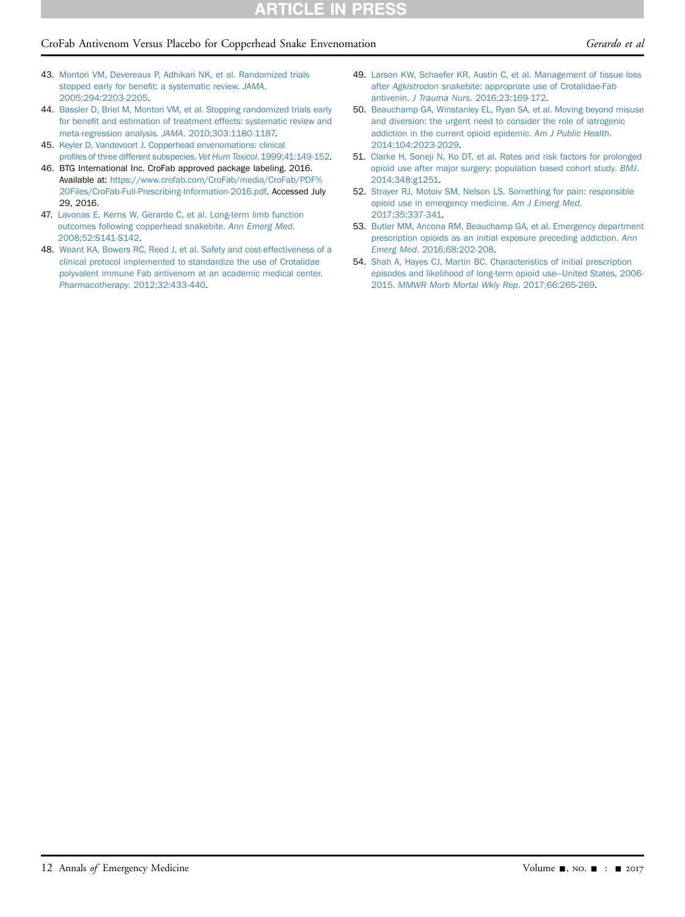## CroFab Antivenom Versus Placebo for Copperhead Snake Envenomation Gerardo et al

- <span id="page-11-0"></span>43. [Montori VM, Devereaux P, Adhikari NK, et al. Randomized trials](http://refhub.elsevier.com/S0196-0644(17)30510-3/sref43) [stopped early for bene](http://refhub.elsevier.com/S0196-0644(17)30510-3/sref43)fit: a systematic review. JAMA. [2005;294:2203-2205](http://refhub.elsevier.com/S0196-0644(17)30510-3/sref43).
- 44. [Bassler D, Briel M, Montori VM, et al. Stopping randomized trials early](http://refhub.elsevier.com/S0196-0644(17)30510-3/sref44) for benefi[t and estimation of treatment effects: systematic review and](http://refhub.elsevier.com/S0196-0644(17)30510-3/sref44) [meta-regression analysis.](http://refhub.elsevier.com/S0196-0644(17)30510-3/sref44) JAMA. 2010;303:1180-1187.
- <span id="page-11-1"></span>45. [Keyler D, Vandevoort J. Copperhead envenomations: clinical](http://refhub.elsevier.com/S0196-0644(17)30510-3/sref45) profi[les of three different subspecies.](http://refhub.elsevier.com/S0196-0644(17)30510-3/sref45) Vet Hum Toxicol. 1999;41:149-152.
- 46. BTG International Inc. CroFab approved package labeling. 2016. Available at: [https://www.crofab.com/CroFab/media/CroFab/PDF%](https://www.crofab.com/CroFab/media/CroFab/PDF%20Files/CroFab-Full-Prescribing-Information-2016.pdf) [20Files/CroFab-Full-Prescribing-Information-2016.pdf.](https://www.crofab.com/CroFab/media/CroFab/PDF%20Files/CroFab-Full-Prescribing-Information-2016.pdf) Accessed July 29, 2016.
- <span id="page-11-2"></span>47. [Lavonas E, Kerns W, Gerardo C, et al. Long-term limb function](http://refhub.elsevier.com/S0196-0644(17)30510-3/sref47) [outcomes following copperhead snakebite.](http://refhub.elsevier.com/S0196-0644(17)30510-3/sref47) Ann Emerg Med. [2008;52:S141-S142.](http://refhub.elsevier.com/S0196-0644(17)30510-3/sref47)
- 48. [Weant KA, Bowers RC, Reed J, et al. Safety and cost-effectiveness of a](http://refhub.elsevier.com/S0196-0644(17)30510-3/sref48) [clinical protocol implemented to standardize the use of Crotalidae](http://refhub.elsevier.com/S0196-0644(17)30510-3/sref48) [polyvalent immune Fab antivenom at an academic medical center.](http://refhub.elsevier.com/S0196-0644(17)30510-3/sref48) Pharmacotherapy[. 2012;32:433-440.](http://refhub.elsevier.com/S0196-0644(17)30510-3/sref48)
- <span id="page-11-3"></span>49. [Larson KW, Schaefer KR, Austin C, et al. Management of tissue loss](http://refhub.elsevier.com/S0196-0644(17)30510-3/sref49) after Agkistrodon [snakebite: appropriate use of Crotalidae-Fab](http://refhub.elsevier.com/S0196-0644(17)30510-3/sref49) antivenin. J Trauma Nurs[. 2016;23:169-172](http://refhub.elsevier.com/S0196-0644(17)30510-3/sref49).
- <span id="page-11-4"></span>50. [Beauchamp GA, Winstanley EL, Ryan SA, et al. Moving beyond misuse](http://refhub.elsevier.com/S0196-0644(17)30510-3/sref50) [and diversion: the urgent need to consider the role of iatrogenic](http://refhub.elsevier.com/S0196-0644(17)30510-3/sref50) [addiction in the current opioid epidemic.](http://refhub.elsevier.com/S0196-0644(17)30510-3/sref50) Am J Public Health. [2014;104:2023-2029.](http://refhub.elsevier.com/S0196-0644(17)30510-3/sref50)
- 51. [Clarke H, Soneji N, Ko DT, et al. Rates and risk factors for prolonged](http://refhub.elsevier.com/S0196-0644(17)30510-3/sref51) [opioid use after major surgery: population based cohort study.](http://refhub.elsevier.com/S0196-0644(17)30510-3/sref51) BMJ. [2014;348:g1251.](http://refhub.elsevier.com/S0196-0644(17)30510-3/sref51)
- 52. [Strayer RJ, Motoiv SM, Nelson LS. Something for pain: responsible](http://refhub.elsevier.com/S0196-0644(17)30510-3/sref52) [opioid use in emergency medicine.](http://refhub.elsevier.com/S0196-0644(17)30510-3/sref52) Am J Emerg Med. [2017;35:337-341](http://refhub.elsevier.com/S0196-0644(17)30510-3/sref52).
- 53. [Butler MM, Ancona RM, Beauchamp GA, et al. Emergency department](http://refhub.elsevier.com/S0196-0644(17)30510-3/sref53) [prescription opioids as an initial exposure preceding addiction.](http://refhub.elsevier.com/S0196-0644(17)30510-3/sref53) Ann Emerg Med[. 2016;68:202-208.](http://refhub.elsevier.com/S0196-0644(17)30510-3/sref53)
- 54. [Shah A, Hayes CJ, Martin BC. Characteristics of initial prescription](http://refhub.elsevier.com/S0196-0644(17)30510-3/sref54) [episodes and likelihood of long-term opioid use](http://refhub.elsevier.com/S0196-0644(17)30510-3/sref54)—[United States, 2006-](http://refhub.elsevier.com/S0196-0644(17)30510-3/sref54) 2015. [MMWR Morb Mortal Wkly Rep](http://refhub.elsevier.com/S0196-0644(17)30510-3/sref54). 2017;66:265-269.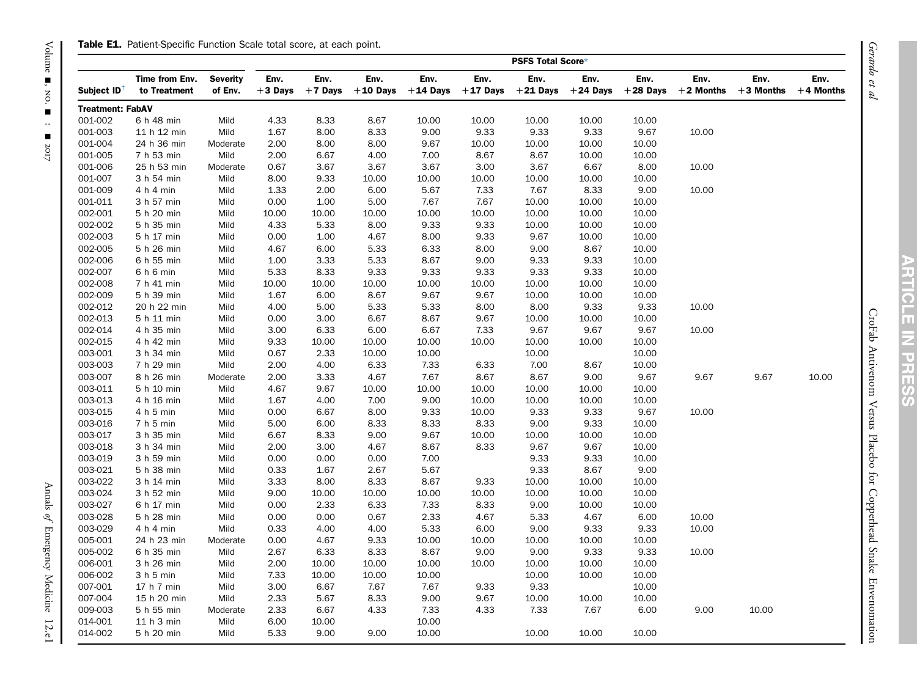#### Table E1. Patient-Specific Function Scale total score, at each point.

<span id="page-12-0"></span>

|                         |                                |                            |                   |                   |                    |                    |                    | PSFS Total Score*  |                    |                    |                     |                     |                     |
|-------------------------|--------------------------------|----------------------------|-------------------|-------------------|--------------------|--------------------|--------------------|--------------------|--------------------|--------------------|---------------------|---------------------|---------------------|
| Subject ID <sup>1</sup> | Time from Env.<br>to Treatment | <b>Severity</b><br>of Env. | Env.<br>$+3$ Days | Env.<br>$+7$ Days | Env.<br>$+10$ Days | Env.<br>$+14$ Days | Env.<br>$+17$ Days | Env.<br>$+21$ Days | Env.<br>$+24$ Days | Env.<br>$+28$ Days | Env.<br>$+2$ Months | Env.<br>$+3$ Months | Env.<br>$+4$ Months |
| <b>Treatment: FabAV</b> |                                |                            |                   |                   |                    |                    |                    |                    |                    |                    |                     |                     |                     |
| 001-002                 | 6 h 48 min                     | Mild                       | 4.33              | 8.33              | 8.67               | 10.00              | 10.00              | 10.00              | 10.00              | 10.00              |                     |                     |                     |
| 001-003                 | 11 h 12 min                    | Mild                       | 1.67              | 8.00              | 8.33               | 9.00               | 9.33               | 9.33               | 9.33               | 9.67               | 10.00               |                     |                     |
| 001-004                 | 24 h 36 min                    | Moderate                   | 2.00              | 8.00              | 8.00               | 9.67               | 10.00              | 10.00              | 10.00              | 10.00              |                     |                     |                     |
| 001-005                 | 7 h 53 min                     | Mild                       | 2.00              | 6.67              | 4.00               | 7.00               | 8.67               | 8.67               | 10.00              | 10.00              |                     |                     |                     |
| 001-006                 | 25 h 53 min                    | Moderate                   | 0.67              | 3.67              | 3.67               | 3.67               | 3.00               | 3.67               | 6.67               | 8.00               | 10.00               |                     |                     |
| 001-007                 | 3 h 54 min                     | Mild                       | 8.00              | 9.33              | 10.00              | 10.00              | 10.00              | 10.00              | 10.00              | 10.00              |                     |                     |                     |
| 001-009                 | 4 h 4 min                      | Mild                       | 1.33              | 2.00              | 6.00               | 5.67               | 7.33               | 7.67               | 8.33               | 9.00               | 10.00               |                     |                     |
| 001-011                 | 3 h 57 min                     | Mild                       | 0.00              | 1.00              | 5.00               | 7.67               | 7.67               | 10.00              | 10.00              | 10.00              |                     |                     |                     |
| 002-001                 | 5 h 20 min                     | Mild                       | 10.00             | 10.00             | 10.00              | 10.00              | 10.00              | 10.00              | 10.00              | 10.00              |                     |                     |                     |
| 002-002                 | 5 h 35 min                     | Mild                       | 4.33              | 5.33              | 8.00               | 9.33               | 9.33               | 10.00              | 10.00              | 10.00              |                     |                     |                     |
| 002-003                 | 5 h 17 min                     | Mild                       | 0.00              | 1.00              | 4.67               | 8.00               | 9.33               | 9.67               | 10.00              | 10.00              |                     |                     |                     |
| 002-005                 | 5 h 26 min                     | Mild                       | 4.67              | 6.00              | 5.33               | 6.33               | 8.00               | 9.00               | 8.67               | 10.00              |                     |                     |                     |
| 002-006                 | 6 h 55 min                     | Mild                       | 1.00              | 3.33              | 5.33               | 8.67               | 9.00               | 9.33               | 9.33               | 10.00              |                     |                     |                     |
| 002-007                 | 6 h 6 min                      | Mild                       | 5.33              | 8.33              | 9.33               | 9.33               | 9.33               | 9.33               | 9.33               | 10.00              |                     |                     |                     |
| 002-008                 | 7 h 41 min                     | Mild                       | 10.00             | 10.00             | 10.00              | 10.00              | 10.00              | 10.00              | 10.00              | 10.00              |                     |                     |                     |
| 002-009                 | 5 h 39 min                     | Mild                       | 1.67              | 6.00              | 8.67               | 9.67               | 9.67               | 10.00              | 10.00              | 10.00              |                     |                     |                     |
| 002-012                 | 20 h 22 min                    | Mild                       | 4.00              | 5.00              | 5.33               | 5.33               | 8.00               | 8.00               | 9.33               | 9.33               | 10.00               |                     |                     |
| 002-013                 | 5 h 11 min                     | Mild                       | 0.00              | 3.00              | 6.67               | 8.67               | 9.67               | 10.00              | 10.00              | 10.00              |                     |                     |                     |
| 002-014                 | 4 h 35 min                     | Mild                       | 3.00              | 6.33              | 6.00               | 6.67               | 7.33               | 9.67               | 9.67               | 9.67               | 10.00               |                     |                     |
| 002-015                 | 4 h 42 min                     | Mild                       | 9.33              | 10.00             | 10.00              | 10.00              | 10.00              | 10.00              | 10.00              | 10.00              |                     |                     |                     |
| 003-001                 | 3 h 34 min                     | Mild                       | 0.67              | 2.33              | 10.00              | 10.00              |                    | 10.00              |                    | 10.00              |                     |                     |                     |
| 003-003                 | 7 h 29 min                     | Mild                       | 2.00              | 4.00              | 6.33               | 7.33               | 6.33               | 7.00               | 8.67               | 10.00              |                     |                     |                     |
| 003-007                 | 8 h 26 min                     | Moderate                   | 2.00              | 3.33              | 4.67               | 7.67               | 8.67               | 8.67               | 9.00               | 9.67               | 9.67                | 9.67                | 10.00               |
| 003-011                 | 5 h 10 min                     | Mild                       | 4.67              | 9.67              | 10.00              | 10.00              | 10.00              | 10.00              | 10.00              | 10.00              |                     |                     |                     |
| 003-013                 | 4 h 16 min                     | Mild                       | 1.67              | 4.00              | 7.00               | 9.00               | 10.00              | 10.00              | 10.00              | 10.00              |                     |                     |                     |
| 003-015                 | 4 h 5 min                      | Mild                       | 0.00              | 6.67              | 8.00               | 9.33               | 10.00              | 9.33               | 9.33               | 9.67               | 10.00               |                     |                     |
| 003-016                 | 7 h 5 min                      | Mild                       | 5.00              | 6.00              | 8.33               | 8.33               | 8.33               | 9.00               | 9.33               | 10.00              |                     |                     |                     |
| 003-017                 | 3 h 35 min                     | Mild                       | 6.67              | 8.33              | 9.00               | 9.67               | 10.00              | 10.00              | 10.00              | 10.00              |                     |                     |                     |
| 003-018                 | 3 h 34 min                     | Mild                       | 2.00              | 3.00              | 4.67               | 8.67               | 8.33               | 9.67               | 9.67               | 10.00              |                     |                     |                     |
| 003-019                 | 3 h 59 min                     | Mild                       | 0.00              | 0.00              | 0.00               | 7.00               |                    | 9.33               | 9.33               | 10.00              |                     |                     |                     |
| 003-021                 | 5 h 38 min                     | Mild                       | 0.33              | 1.67              | 2.67               | 5.67               |                    | 9.33               | 8.67               | 9.00               |                     |                     |                     |
| 003-022                 | 3 h 14 min                     | Mild                       | 3.33              | 8.00              | 8.33               | 8.67               | 9.33               | 10.00              | 10.00              | 10.00              |                     |                     |                     |
| 003-024                 | 3 h 52 min                     | Mild                       | 9.00              | 10.00             | 10.00              | 10.00              | 10.00              | 10.00              | 10.00              | 10.00              |                     |                     |                     |
| 003-027                 | 6 h 17 min                     | Mild                       | 0.00              | 2.33              | 6.33               | 7.33               | 8.33               | 9.00               | 10.00              | 10.00              |                     |                     |                     |
| 003-028                 | 5 h 28 min                     | Mild                       | 0.00              | 0.00              | 0.67               | 2.33               | 4.67               | 5.33               | 4.67               | 6.00               | 10.00               |                     |                     |
| 003-029                 | 4 h 4 min                      | Mild                       | 0.33              | 4.00              | 4.00               | 5.33               | 6.00               | 9.00               | 9.33               | 9.33               | 10.00               |                     |                     |
| 005-001                 | 24 h 23 min                    | Moderate                   | 0.00              | 4.67              | 9.33               | 10.00              | 10.00              | 10.00              | 10.00              | 10.00              |                     |                     |                     |
| 005-002                 | 6 h 35 min                     | Mild                       | 2.67              | 6.33              | 8.33               | 8.67               | 9.00               | 9.00               | 9.33               | 9.33               | 10.00               |                     |                     |
| 006-001                 | 3 h 26 min                     | Mild                       | 2.00              | 10.00             | 10.00              | 10.00              | 10.00              | 10.00              | 10.00              | 10.00              |                     |                     |                     |
| 006-002                 | 3 h 5 min                      | Mild                       | 7.33              | 10.00             | 10.00              | 10.00              |                    | 10.00              | 10.00              | 10.00              |                     |                     |                     |
| 007-001                 | 17 h 7 min                     | Mild                       | 3.00              | 6.67              | 7.67               | 7.67               | 9.33               | 9.33               |                    | 10.00              |                     |                     |                     |
| 007-004                 | 15 h 20 min                    | Mild                       | 2.33              | 5.67              | 8.33               | 9.00               | 9.67               | 10.00              | 10.00              | 10.00              |                     |                     |                     |
| 009-003                 | 5 h 55 min                     | Moderate                   | 2.33              | 6.67              | 4.33               | 7.33               | 4.33               | 7.33               | 7.67               | 6.00               | 9.00                | 10.00               |                     |
| 014-001                 | 11 h 3 min                     | Mild                       | 6.00              | 10.00             |                    | 10.00              |                    |                    |                    |                    |                     |                     |                     |
| 014-002                 | 5 h 20 min                     | Mild                       | 5.33              | 9.00              | 9.00               | 10.00              |                    | 10.00              | 10.00              | 10.00              |                     |                     |                     |
|                         |                                |                            |                   |                   |                    |                    |                    |                    |                    |                    |                     |                     |                     |

Gerardo et al

77

CroFab Antivenom Versus Placebo for Copperhead Snake Envenomation

CroFab Antivenom Versus Placebo for Copperhead Snake Envenomation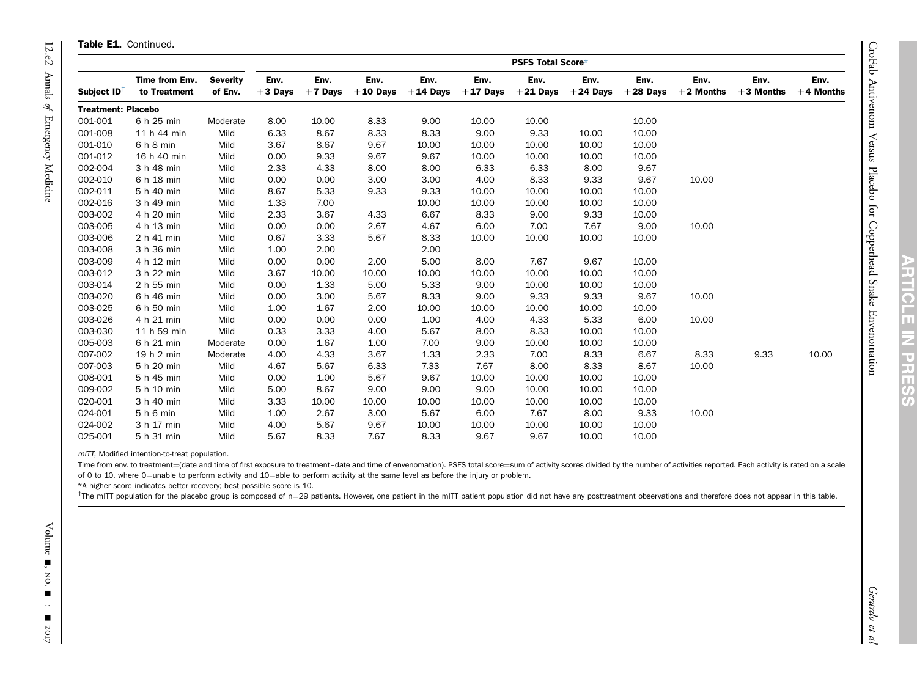|                           | <b>PSFS Total Score*</b>       |                            |                   |                   |                    |                    |                    |                    |                    |                    |                     |                     |                     |
|---------------------------|--------------------------------|----------------------------|-------------------|-------------------|--------------------|--------------------|--------------------|--------------------|--------------------|--------------------|---------------------|---------------------|---------------------|
| Subject ID                | Time from Env.<br>to Treatment | <b>Severity</b><br>of Env. | Env.<br>$+3$ Days | Env.<br>$+7$ Days | Env.<br>$+10$ Days | Env.<br>$+14$ Days | Env.<br>$+17$ Days | Env.<br>$+21$ Days | Env.<br>$+24$ Days | Env.<br>$+28$ Days | Env.<br>$+2$ Months | Env.<br>$+3$ Months | Env.<br>$+4$ Months |
| <b>Treatment: Placebo</b> |                                |                            |                   |                   |                    |                    |                    |                    |                    |                    |                     |                     |                     |
| 001-001                   | 6 h 25 min                     | Moderate                   | 8.00              | 10.00             | 8.33               | 9.00               | 10.00              | 10.00              |                    | 10.00              |                     |                     |                     |
| 001-008                   | 11 h 44 min                    | Mild                       | 6.33              | 8.67              | 8.33               | 8.33               | 9.00               | 9.33               | 10.00              | 10.00              |                     |                     |                     |
| 001-010                   | 6 h 8 min                      | Mild                       | 3.67              | 8.67              | 9.67               | 10.00              | 10.00              | 10.00              | 10.00              | 10.00              |                     |                     |                     |
| 001-012                   | 16 h 40 min                    | Mild                       | 0.00              | 9.33              | 9.67               | 9.67               | 10.00              | 10.00              | 10.00              | 10.00              |                     |                     |                     |
| 002-004                   | 3 h 48 min                     | Mild                       | 2.33              | 4.33              | 8.00               | 8.00               | 6.33               | 6.33               | 8.00               | 9.67               |                     |                     |                     |
| 002-010                   | 6 h 18 min                     | Mild                       | 0.00              | 0.00              | 3.00               | 3.00               | 4.00               | 8.33               | 9.33               | 9.67               | 10.00               |                     |                     |
| 002-011                   | 5 h 40 min                     | Mild                       | 8.67              | 5.33              | 9.33               | 9.33               | 10.00              | 10.00              | 10.00              | 10.00              |                     |                     |                     |
| 002-016                   | 3 h 49 min                     | Mild                       | 1.33              | 7.00              |                    | 10.00              | 10.00              | 10.00              | 10.00              | 10.00              |                     |                     |                     |
| 003-002                   | 4 h 20 min                     | Mild                       | 2.33              | 3.67              | 4.33               | 6.67               | 8.33               | 9.00               | 9.33               | 10.00              |                     |                     |                     |
| 003-005                   | 4 h 13 min                     | Mild                       | 0.00              | 0.00              | 2.67               | 4.67               | 6.00               | 7.00               | 7.67               | 9.00               | 10.00               |                     |                     |
| 003-006                   | 2 h 41 min                     | Mild                       | 0.67              | 3.33              | 5.67               | 8.33               | 10.00              | 10.00              | 10.00              | 10.00              |                     |                     |                     |
| 003-008                   | 3 h 36 min                     | Mild                       | 1.00              | 2.00              |                    | 2.00               |                    |                    |                    |                    |                     |                     |                     |
| 003-009                   | 4 h 12 min                     | Mild                       | 0.00              | 0.00              | 2.00               | 5.00               | 8.00               | 7.67               | 9.67               | 10.00              |                     |                     |                     |
| 003-012                   | 3 h 22 min                     | Mild                       | 3.67              | 10.00             | 10.00              | 10.00              | 10.00              | 10.00              | 10.00              | 10.00              |                     |                     |                     |
| 003-014                   | 2 h 55 min                     | Mild                       | 0.00              | 1.33              | 5.00               | 5.33               | 9.00               | 10.00              | 10.00              | 10.00              |                     |                     |                     |
| 003-020                   | 6 h 46 min                     | Mild                       | 0.00              | 3.00              | 5.67               | 8.33               | 9.00               | 9.33               | 9.33               | 9.67               | 10.00               |                     |                     |
| 003-025                   | 6 h 50 min                     | Mild                       | 1.00              | 1.67              | 2.00               | 10.00              | 10.00              | 10.00              | 10.00              | 10.00              |                     |                     |                     |
| 003-026                   | 4 h 21 min                     | Mild                       | 0.00              | 0.00              | 0.00               | 1.00               | 4.00               | 4.33               | 5.33               | 6.00               | 10.00               |                     |                     |
| 003-030                   | 11 h 59 min                    | Mild                       | 0.33              | 3.33              | 4.00               | 5.67               | 8.00               | 8.33               | 10.00              | 10.00              |                     |                     |                     |
| 005-003                   | 6 h 21 min                     | Moderate                   | 0.00              | 1.67              | 1.00               | 7.00               | 9.00               | 10.00              | 10.00              | 10.00              |                     |                     |                     |
| 007-002                   | 19 h 2 min                     | Moderate                   | 4.00              | 4.33              | 3.67               | 1.33               | 2.33               | 7.00               | 8.33               | 6.67               | 8.33                | 9.33                | 10.00               |
| 007-003                   | 5 h 20 min                     | Mild                       | 4.67              | 5.67              | 6.33               | 7.33               | 7.67               | 8.00               | 8.33               | 8.67               | 10.00               |                     |                     |
| 008-001                   | 5 h 45 min                     | Mild                       | 0.00              | 1.00              | 5.67               | 9.67               | 10.00              | 10.00              | 10.00              | 10.00              |                     |                     |                     |
| 009-002                   | 5 h 10 min                     | Mild                       | 5.00              | 8.67              | 9.00               | 9.00               | 9.00               | 10.00              | 10.00              | 10.00              |                     |                     |                     |
| 020-001                   | 3 h 40 min                     | Mild                       | 3.33              | 10.00             | 10.00              | 10.00              | 10.00              | 10.00              | 10.00              | 10.00              |                     |                     |                     |
| 024-001                   | 5 h 6 min                      | Mild                       | 1.00              | 2.67              | 3.00               | 5.67               | 6.00               | 7.67               | 8.00               | 9.33               | 10.00               |                     |                     |
| 024-002                   | 3 h 17 min                     | Mild                       | 4.00              | 5.67              | 9.67               | 10.00              | 10.00              | 10.00              | 10.00              | 10.00              |                     |                     |                     |
| 025-001                   | 5 h 31 min                     | Mild                       | 5.67              | 8.33              | 7.67               | 8.33               | 9.67               | 9.67               | 10.00              | 10.00              |                     |                     |                     |

mITT, Modified intention-to-treat population.

Time from env. to treatment=(date and time of first exposure to treatment-date and time of envenomation). PSFS total score=sum of activity scores divided by the number of activities reported. Each activity is rated on a sc of 0 to 10, where 0=unable to perform activity and 10=able to perform activity at the same level as before the injury or problem.

\*A higher score indicates better recovery; best possible score is 10.

<sup>†</sup>The mITT population for the placebo group is composed of n=29 patients. However, one patient in the mITT patient population did not have any posttreatment observations and therefore does not appear in this table.

TT.

**TICLE** 

IN PRESS

<span id="page-13-1"></span><span id="page-13-0"></span>Τ